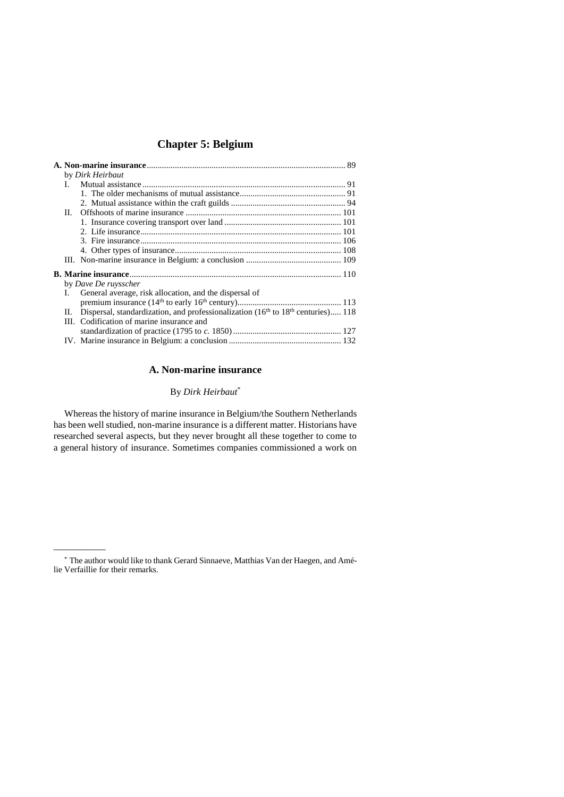|  |    | by Dirk Heirbaut                                                                                         |  |
|--|----|----------------------------------------------------------------------------------------------------------|--|
|  |    |                                                                                                          |  |
|  |    |                                                                                                          |  |
|  |    |                                                                                                          |  |
|  | Н. |                                                                                                          |  |
|  |    |                                                                                                          |  |
|  |    |                                                                                                          |  |
|  |    |                                                                                                          |  |
|  |    |                                                                                                          |  |
|  |    |                                                                                                          |  |
|  |    |                                                                                                          |  |
|  |    | by Dave De ruysscher                                                                                     |  |
|  | L. | General average, risk allocation, and the dispersal of                                                   |  |
|  |    |                                                                                                          |  |
|  | П. | Dispersal, standardization, and professionalization (16 <sup>th</sup> to 18 <sup>th</sup> centuries) 118 |  |
|  |    | III. Codification of marine insurance and                                                                |  |
|  |    |                                                                                                          |  |
|  |    |                                                                                                          |  |
|  |    |                                                                                                          |  |

# **A. Non-marine insurance**

# By *Dirk Heirbaut*\*

<span id="page-0-0"></span>Whereas the history of marine insurance in Belgium/the Southern Netherlands has been well studied, non-marine insurance is a different matter. Historians have researched several aspects, but they never brought all these together to come to a general history of insurance. Sometimes companies commissioned a work on

<sup>\*</sup> The author would like to thank Gerard Sinnaeve, Matthias Van der Haegen, and Amélie Verfaillie for their remarks.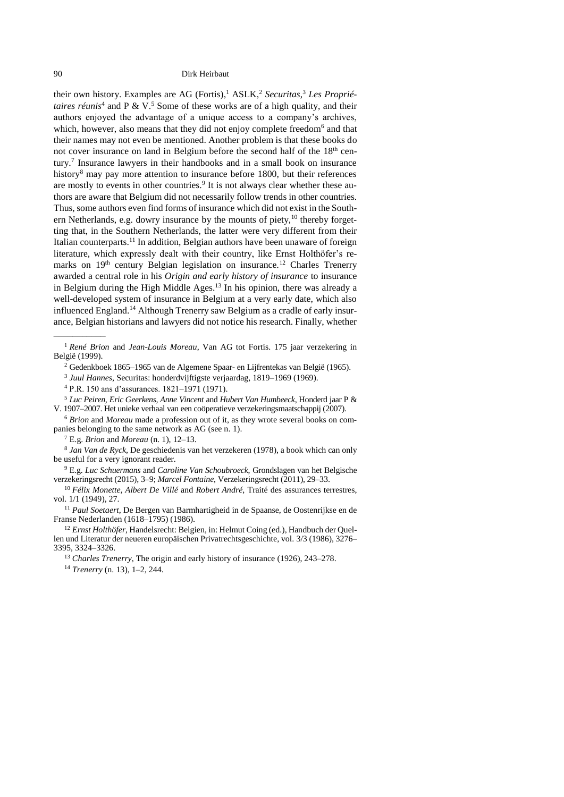<span id="page-1-3"></span><span id="page-1-0"></span>their own history. Examples are AG (Fortis), <sup>1</sup> ASLK, <sup>2</sup> *Securitas*, <sup>3</sup> *Les Propriétaires réunis*<sup>4</sup> and P & V. <sup>5</sup> Some of these works are of a high quality, and their authors enjoyed the advantage of a unique access to a company's archives, which, however, also means that they did not enjoy complete freedom<sup>6</sup> and that their names may not even be mentioned. Another problem is that these books do not cover insurance on land in Belgium before the second half of the 18<sup>th</sup> century.<sup>7</sup> Insurance lawyers in their handbooks and in a small book on insurance history<sup>8</sup> may pay more attention to insurance before 1800, but their references are mostly to events in other countries.<sup>9</sup> It is not always clear whether these authors are aware that Belgium did not necessarily follow trends in other countries. Thus, some authors even find forms of insurance which did not exist in the Southern Netherlands, e.g. dowry insurance by the mounts of piety,<sup>10</sup> thereby forgetting that, in the Southern Netherlands, the latter were very different from their Italian counterparts.<sup>11</sup> In addition, Belgian authors have been unaware of foreign literature, which expressly dealt with their country, like Ernst Holthöfer's remarks on 19<sup>th</sup> century Belgian legislation on insurance.<sup>12</sup> Charles Trenerry awarded a central role in his *Origin and early history of insurance* to insurance in Belgium during the High Middle Ages.<sup>13</sup> In his opinion, there was already a well-developed system of insurance in Belgium at a very early date, which also influenced England.<sup>14</sup> Although Trenerry saw Belgium as a cradle of early insurance, Belgian historians and lawyers did not notice his research. Finally, whether

<sup>6</sup> *Brion* and *Moreau* made a profession out of it, as they wrote several books on companies belonging to the same network as AG (see n. [1\)](#page-1-0).

<sup>7</sup> E.g. *Brion* and *Moreau* (n. [1\)](#page-1-0), 12–13.

<span id="page-1-2"></span><span id="page-1-1"></span> $\overline{\phantom{a}}$ 

8 *Jan Van de Ryck*, De geschiedenis van het verzekeren (1978), a book which can only be useful for a very ignorant reader.

<sup>9</sup> E.g. *Luc Schuermans* and *Caroline Van Schoubroeck*, Grondslagen van het Belgische verzekeringsrecht (2015), 3–9; *Marcel Fontaine*, Verzekeringsrecht (2011), 29–33.

<sup>11</sup> *Paul Soetaert*, De Bergen van Barmhartigheid in de Spaanse, de Oostenrijkse en de Franse Nederlanden (1618–1795) (1986).

<sup>12</sup> *Ernst Holthöfer*, Handelsrecht: Belgien, in: Helmut Coing (ed.), Handbuch der Quellen und Literatur der neueren europäischen Privatrechtsgeschichte, vol. 3/3 (1986), 3276– 3395, 3324–3326.

<sup>13</sup> *Charles Trenerry*, The origin and early history of insurance (1926), 243–278. <sup>14</sup> *Trenerry* (n. [13\)](#page-1-1), 1–2, 244.

<sup>1</sup> *René Brion* and *Jean-Louis Moreau*, Van AG tot Fortis. 175 jaar verzekering in België (1999).

<sup>2</sup> Gedenkboek 1865–1965 van de Algemene Spaar- en Lijfrentekas van België (1965).

<sup>3</sup> *Juul Hannes*, Securitas: honderdvijftigste verjaardag, 1819–1969 (1969).

<sup>4</sup> P.R. 150 ans d'assurances. 1821–1971 (1971).

<sup>5</sup> *Luc Peiren, Eric Geerkens, Anne Vincent* and *Hubert Van Humbeeck*, Honderd jaar P & V. 1907–2007. Het unieke verhaal van een coöperatieve verzekeringsmaatschappij (2007).

<sup>10</sup> *Félix Monette, Albert De Villé* and *Robert André*, Traité des assurances terrestres, vol. 1/1 (1949), 27.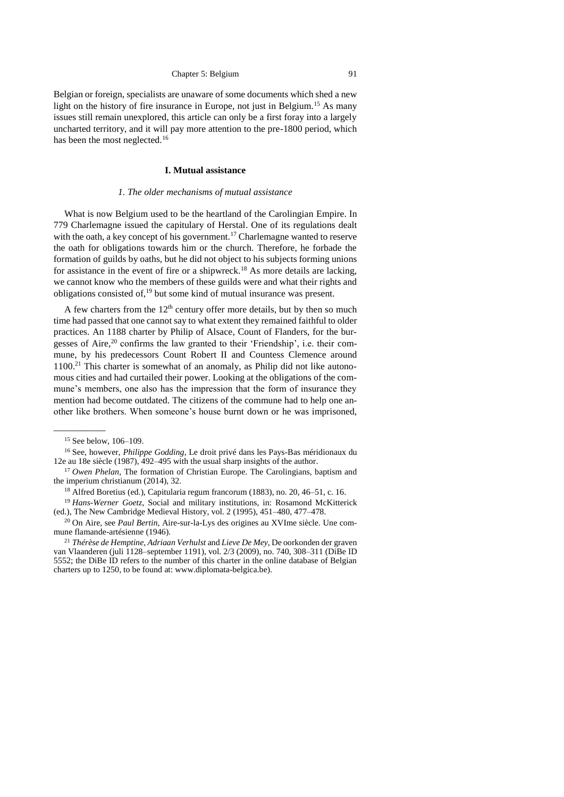Belgian or foreign, specialists are unaware of some documents which shed a new light on the history of fire insurance in Europe, not just in Belgium.<sup>15</sup> As many issues still remain unexplored, this article can only be a first foray into a largely uncharted territory, and it will pay more attention to the pre-1800 period, which has been the most neglected.<sup>16</sup>

# <span id="page-2-2"></span>**I. Mutual assistance**

# *1. The older mechanisms of mutual assistance*

<span id="page-2-1"></span><span id="page-2-0"></span>What is now Belgium used to be the heartland of the Carolingian Empire. In 779 Charlemagne issued the capitulary of Herstal. One of its regulations dealt with the oath, a key concept of his government.<sup>17</sup> Charlemagne wanted to reserve the oath for obligations towards him or the church. Therefore, he forbade the formation of guilds by oaths, but he did not object to his subjects forming unions for assistance in the event of fire or a shipwreck.<sup>18</sup> As more details are lacking, we cannot know who the members of these guilds were and what their rights and obligations consisted of,<sup>19</sup> but some kind of mutual insurance was present.

A few charters from the  $12<sup>th</sup>$  century offer more details, but by then so much time had passed that one cannot say to what extent they remained faithful to older practices. An 1188 charter by Philip of Alsace, Count of Flanders, for the burgesses of Aire, <sup>20</sup> confirms the law granted to their 'Friendship', i.e. their commune, by his predecessors Count Robert II and Countess Clemence around 1100.<sup>21</sup> This charter is somewhat of an anomaly, as Philip did not like autonomous cities and had curtailed their power. Looking at the obligations of the commune's members, one also has the impression that the form of insurance they mention had become outdated. The citizens of the commune had to help one another like brothers. When someone's house burnt down or he was imprisoned,

<sup>15</sup> See below, [106–](#page-17-0)[109.](#page-19-0)

<sup>16</sup> See, however, *Philippe Godding*, Le droit privé dans les Pays-Bas méridionaux du 12e au 18e siècle (1987), 492–495 with the usual sharp insights of the author.

<sup>&</sup>lt;sup>17</sup> *Owen Phelan*, The formation of Christian Europe. The Carolingians, baptism and the imperium christianum (2014), 32.

<sup>18</sup> Alfred Boretius (ed.), Capitularia regum francorum (1883), no. 20, 46–51, c. 16.

<sup>&</sup>lt;sup>19</sup> Hans-Werner Goetz, Social and military institutions, in: Rosamond McKitterick (ed.), The New Cambridge Medieval History, vol. 2 (1995), 451–480, 477–478.

<sup>20</sup> On Aire, see *Paul Bertin*, Aire-sur-la-Lys des origines au XVIme siècle. Une commune flamande-artésienne (1946).

<sup>21</sup> *Thérèse de Hemptine, Adriaan Verhulst* and *Lieve De Mey*, De oorkonden der graven van Vlaanderen (juli 1128–september 1191), vol. 2/3 (2009), no. 740, 308–311 (DiBe ID 5552; the DiBe ID refers to the number of this charter in the online database of Belgian charters up to 1250, to be found at: www.diplomata-belgica.be).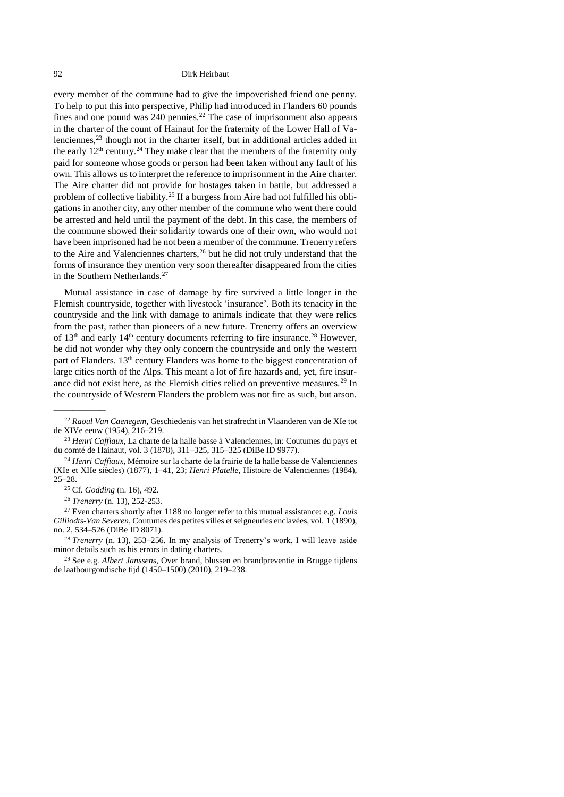every member of the commune had to give the impoverished friend one penny. To help to put this into perspective, Philip had introduced in Flanders 60 pounds fines and one pound was 240 pennies.<sup>22</sup> The case of imprisonment also appears in the charter of the count of Hainaut for the fraternity of the Lower Hall of Valenciennes, <sup>23</sup> though not in the charter itself, but in additional articles added in the early  $12<sup>th</sup>$  century.<sup>24</sup> They make clear that the members of the fraternity only paid for someone whose goods or person had been taken without any fault of his own. This allows us to interpret the reference to imprisonment in the Aire charter. The Aire charter did not provide for hostages taken in battle, but addressed a problem of collective liability.<sup>25</sup> If a burgess from Aire had not fulfilled his obligations in another city, any other member of the commune who went there could be arrested and held until the payment of the debt. In this case, the members of the commune showed their solidarity towards one of their own, who would not have been imprisoned had he not been a member of the commune. Trenerry refers to the Aire and Valenciennes charters, $2<sup>6</sup>$  but he did not truly understand that the forms of insurance they mention very soon thereafter disappeared from the cities in the Southern Netherlands.<sup>27</sup>

Mutual assistance in case of damage by fire survived a little longer in the Flemish countryside, together with livestock 'insurance'. Both its tenacity in the countryside and the link with damage to animals indicate that they were relics from the past, rather than pioneers of a new future. Trenerry offers an overview of  $13<sup>th</sup>$  and early  $14<sup>th</sup>$  century documents referring to fire insurance.<sup>28</sup> However, he did not wonder why they only concern the countryside and only the western part of Flanders.  $13<sup>th</sup>$  century Flanders was home to the biggest concentration of large cities north of the Alps. This meant a lot of fire hazards and, yet, fire insurance did not exist here, as the Flemish cities relied on preventive measures.<sup>29</sup> In the countryside of Western Flanders the problem was not fire as such, but arson.

<sup>22</sup> *Raoul Van Caenegem*, Geschiedenis van het strafrecht in Vlaanderen van de XIe tot de XIVe eeuw (1954), 216–219.

<sup>23</sup> *Henri Caffiaux*, La charte de la halle basse à Valenciennes, in: Coutumes du pays et du comté de Hainaut, vol. 3 (1878), 311–325, 315–325 (DiBe ID 9977).

<sup>24</sup> *Henri Caffiaux,* Mémoire sur la charte de la frairie de la halle basse de Valenciennes (XIe et XIIe siècles) (1877), 1–41, 23; *Henri Platelle*, Histoire de Valenciennes (1984), 25–28.

<sup>25</sup> Cf. *Godding* (n. [16\)](#page-2-2), 492.

<sup>26</sup> *Trenerry* (n. [13\)](#page-1-1), 252-253.

<sup>27</sup> Even charters shortly after 1188 no longer refer to this mutual assistance: e.g. *Louis Gilliodts-Van Severen*, Coutumes des petites villes et seigneuries enclavées, vol. 1 (1890), no. 2, 534–526 (DiBe ID 8071).

<sup>28</sup> *Trenerry* (n. [13\)](#page-1-1), 253–256. In my analysis of Trenerry's work, I will leave aside minor details such as his errors in dating charters.

<sup>29</sup> See e.g. *Albert Janssens*, Over brand, blussen en brandpreventie in Brugge tijdens de laatbourgondische tijd (1450–1500) (2010), 219–238.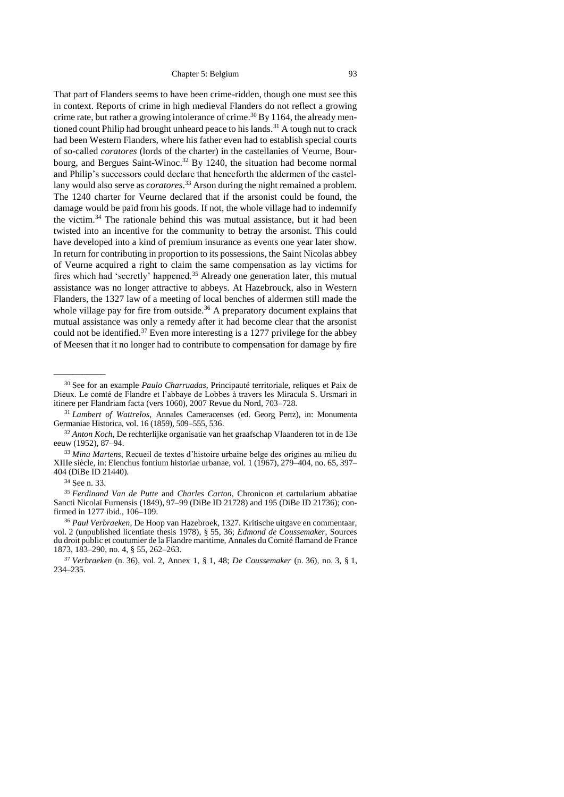<span id="page-4-0"></span>That part of Flanders seems to have been crime-ridden, though one must see this in context. Reports of crime in high medieval Flanders do not reflect a growing crime rate, but rather a growing intolerance of crime.<sup>30</sup> By 1164, the already mentioned count Philip had brought unheard peace to his lands.<sup>31</sup> A tough nut to crack had been Western Flanders, where his father even had to establish special courts of so-called *coratores* (lords of the charter) in the castellanies of Veurne, Bourbourg, and Bergues Saint-Winoc. <sup>32</sup> By 1240, the situation had become normal and Philip's successors could declare that henceforth the aldermen of the castellany would also serve as *coratores*. <sup>33</sup> Arson during the night remained a problem. The 1240 charter for Veurne declared that if the arsonist could be found, the damage would be paid from his goods. If not, the whole village had to indemnify the victim.<sup>34</sup> The rationale behind this was mutual assistance, but it had been twisted into an incentive for the community to betray the arsonist. This could have developed into a kind of premium insurance as events one year later show. In return for contributing in proportion to its possessions, the Saint Nicolas abbey of Veurne acquired a right to claim the same compensation as lay victims for fires which had 'secretly' happened.<sup>35</sup> Already one generation later, this mutual assistance was no longer attractive to abbeys. At Hazebrouck, also in Western Flanders, the 1327 law of a meeting of local benches of aldermen still made the whole village pay for fire from outside.<sup>36</sup> A preparatory document explains that mutual assistance was only a remedy after it had become clear that the arsonist could not be identified. $37$  Even more interesting is a 1277 privilege for the abbey of Meesen that it no longer had to contribute to compensation for damage by fire

<span id="page-4-2"></span><span id="page-4-1"></span><sup>30</sup> See for an example *Paulo Charruadas*, Principauté territoriale, reliques et Paix de Dieux. Le comté de Flandre et l'abbaye de Lobbes à travers les Miracula S. Ursmari in itinere per Flandriam facta (vers 1060), 2007 Revue du Nord, 703–728.

<sup>31</sup> *Lambert of Wattrelos*, Annales Cameracenses (ed. Georg Pertz), in: Monumenta Germaniae Historica, vol. 16 (1859), 509–555, 536.

<sup>32</sup> *Anton Koch*, De rechterlijke organisatie van het graafschap Vlaanderen tot in de 13e eeuw (1952), 87–94.

<sup>33</sup> *Mina Martens*, Recueil de textes d'histoire urbaine belge des origines au milieu du XIIIe siècle, in: Elenchus fontium historiae urbanae, vol. 1 (1967), 279–404, no. 65, 397– 404 (DiBe ID 21440).

<sup>34</sup> See n. [33.](#page-4-0)

<sup>35</sup> *Ferdinand Van de Putte* and *Charles Carton*, Chronicon et cartularium abbatiae Sancti Nicolaï Furnensis (1849), 97–99 (DiBe ID 21728) and 195 (DiBe ID 21736); confirmed in 1277 ibid., 106–109.

<sup>36</sup> *Paul Verbraeken*, De Hoop van Hazebroek, 1327. Kritische uitgave en commentaar, vol. 2 (unpublished licentiate thesis 1978), § 55, 36; *Edmond de Coussemaker*, Sources du droit public et coutumier de la Flandre maritime, Annales du Comité flamand de France 1873, 183–290, no. 4, § 55, 262–263.

<sup>37</sup> *Verbraeken* (n. [36\)](#page-4-1), vol. 2, Annex 1, § 1, 48; *De Coussemaker* (n. [36\)](#page-4-1), no. 3, § 1, 234–235.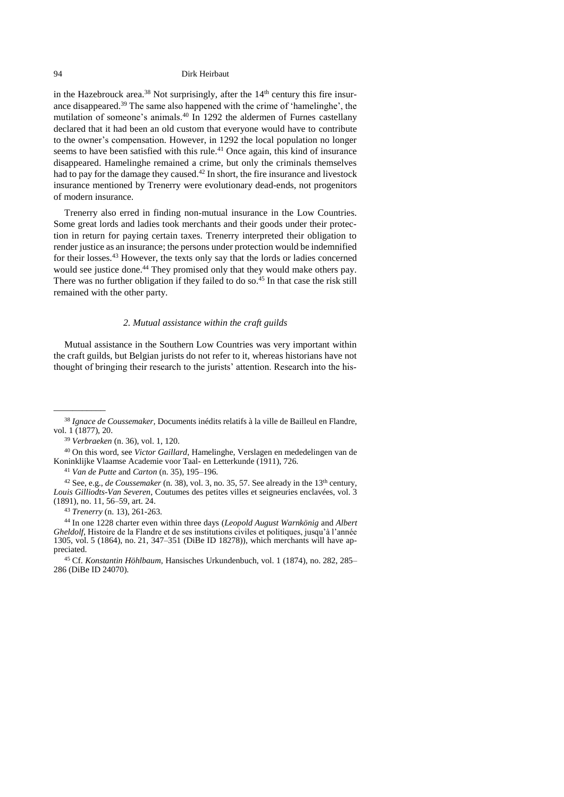<span id="page-5-1"></span>in the Hazebrouck area.<sup>38</sup> Not surprisingly, after the  $14<sup>th</sup>$  century this fire insurance disappeared. <sup>39</sup> The same also happened with the crime of 'hamelinghe', the mutilation of someone's animals.<sup>40</sup> In 1292 the aldermen of Furnes castellany declared that it had been an old custom that everyone would have to contribute to the owner's compensation. However, in 1292 the local population no longer seems to have been satisfied with this rule.<sup>41</sup> Once again, this kind of insurance disappeared. Hamelinghe remained a crime, but only the criminals themselves had to pay for the damage they caused.<sup>42</sup> In short, the fire insurance and livestock insurance mentioned by Trenerry were evolutionary dead-ends, not progenitors of modern insurance.

Trenerry also erred in finding non-mutual insurance in the Low Countries. Some great lords and ladies took merchants and their goods under their protection in return for paying certain taxes. Trenerry interpreted their obligation to render justice as an insurance; the persons under protection would be indemnified for their losses.<sup>43</sup> However, the texts only say that the lords or ladies concerned would see justice done.<sup>44</sup> They promised only that they would make others pay. There was no further obligation if they failed to do so.<sup>45</sup> In that case the risk still remained with the other party.

## *2. Mutual assistance within the craft guilds*

<span id="page-5-0"></span>Mutual assistance in the Southern Low Countries was very important within the craft guilds, but Belgian jurists do not refer to it, whereas historians have not thought of bringing their research to the jurists' attention. Research into the his-

 $\overline{\phantom{a}}$ 

<sup>40</sup> On this word, see *Victor Gaillard*, Hamelinghe, Verslagen en mededelingen van de Koninklijke Vlaamse Academie voor Taal- en Letterkunde (1911), 726.

<sup>41</sup> *Van de Putte* and *Carton* (n. [35\)](#page-4-2), 195–196.

<sup>42</sup> See, e.g., *de Coussemaker* (n. [38\)](#page-5-1), vol. 3, no. 35, 57. See already in the 13<sup>th</sup> century, *Louis Gilliodts-Van Severen*, Coutumes des petites villes et seigneuries enclavées, vol. 3 (1891), no. 11, 56–59, art. 24.

<sup>43</sup> *Trenerry* (n. [13\)](#page-1-1), 261-263.

<sup>44</sup> In one 1228 charter even within three days (*Leopold August Warnkönig* and *Albert Gheldolf*, Histoire de la Flandre et de ses institutions civiles et politiques, jusqu'à l'année 1305, vol. 5 (1864), no. 21, 347–351 (DiBe ID 18278)), which merchants will have appreciated.

<sup>45</sup> Cf. *Konstantin Höhlbaum*, Hansisches Urkundenbuch, vol. 1 (1874), no. 282, 285– 286 (DiBe ID 24070).

<sup>38</sup> *Ignace de Coussemaker,* Documents inédits relatifs à la ville de Bailleul en Flandre, vol. 1 (1877), 20.

<sup>39</sup> *Verbraeken* (n. [36\)](#page-4-1), vol. 1, 120.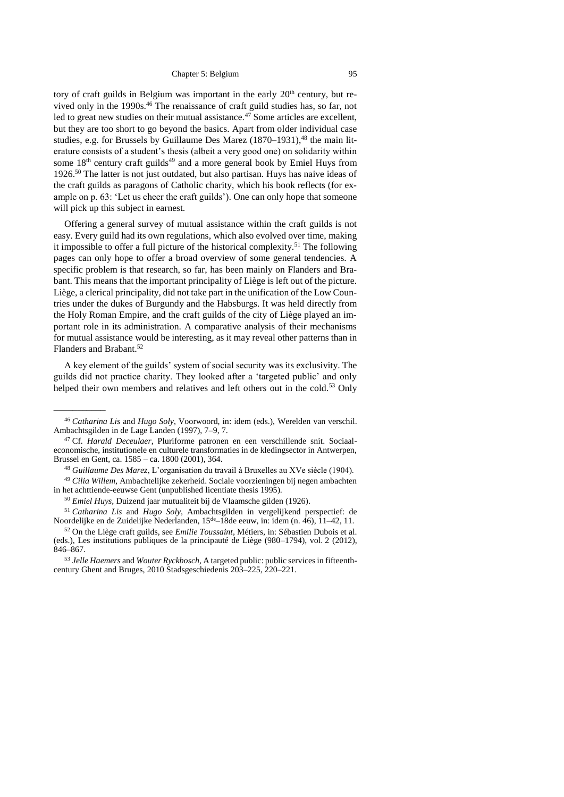<span id="page-6-2"></span><span id="page-6-1"></span><span id="page-6-0"></span>tory of craft guilds in Belgium was important in the early  $20<sup>th</sup>$  century, but revived only in the 1990s.<sup>46</sup> The renaissance of craft guild studies has, so far, not led to great new studies on their mutual assistance.<sup>47</sup> Some articles are excellent, but they are too short to go beyond the basics. Apart from older individual case studies, e.g. for Brussels by Guillaume Des Marez (1870–1931), <sup>48</sup> the main literature consists of a student's thesis (albeit a very good one) on solidarity within some 18<sup>th</sup> century craft guilds<sup>49</sup> and a more general book by Emiel Huys from 1926.<sup>50</sup> The latter is not just outdated, but also partisan. Huys has naive ideas of the craft guilds as paragons of Catholic charity, which his book reflects (for example on p. 63: 'Let us cheer the craft guilds'). One can only hope that someone will pick up this subject in earnest.

<span id="page-6-4"></span><span id="page-6-3"></span>Offering a general survey of mutual assistance within the craft guilds is not easy. Every guild had its own regulations, which also evolved over time, making it impossible to offer a full picture of the historical complexity.<sup>51</sup> The following pages can only hope to offer a broad overview of some general tendencies. A specific problem is that research, so far, has been mainly on Flanders and Brabant. This means that the important principality of Liège is left out of the picture. Liège, a clerical principality, did not take part in the unification of the Low Countries under the dukes of Burgundy and the Habsburgs. It was held directly from the Holy Roman Empire, and the craft guilds of the city of Liège played an important role in its administration. A comparative analysis of their mechanisms for mutual assistance would be interesting, as it may reveal other patterns than in Flanders and Brabant. 52

A key element of the guilds' system of social security was its exclusivity. The guilds did not practice charity. They looked after a 'targeted public' and only helped their own members and relatives and left others out in the cold.<sup>53</sup> Only

<sup>46</sup> *Catharina Lis* and *Hugo Soly*, Voorwoord, in: idem (eds.), Werelden van verschil. Ambachtsgilden in de Lage Landen (1997), 7–9, 7.

<sup>47</sup> Cf. *Harald Deceulaer*, Pluriforme patronen en een verschillende snit. Sociaaleconomische, institutionele en culturele transformaties in de kledingsector in Antwerpen, Brussel en Gent, ca. 1585 – ca. 1800 (2001), 364.

<sup>48</sup> *Guillaume Des Marez*, L'organisation du travail à Bruxelles au XVe siècle (1904).

<sup>49</sup> *Cilia Willem*, Ambachtelijke zekerheid. Sociale voorzieningen bij negen ambachten in het achttiende-eeuwse Gent (unpublished licentiate thesis 1995).

<sup>50</sup> *Emiel Huys,* Duizend jaar mutualiteit bij de Vlaamsche gilden (1926).

<sup>51</sup> *Catharina Lis* and *Hugo Soly*, Ambachtsgilden in vergelijkend perspectief: de Noordelijke en de Zuidelijke Nederlanden, 15de–18de eeuw, in: idem (n. [46\)](#page-6-0), 11–42, 11.

<sup>52</sup> On the Liège craft guilds, see *Emilie Toussaint*, Métiers, in: Sébastien Dubois et al. (eds.), Les institutions publiques de la principauté de Liège (980–1794), vol. 2 (2012), 846–867.

<sup>53</sup> *Jelle Haemers* and *Wouter Ryckbosch*, A targeted public: public services in fifteenthcentury Ghent and Bruges, 2010 Stadsgeschiedenis 203–225, 220–221.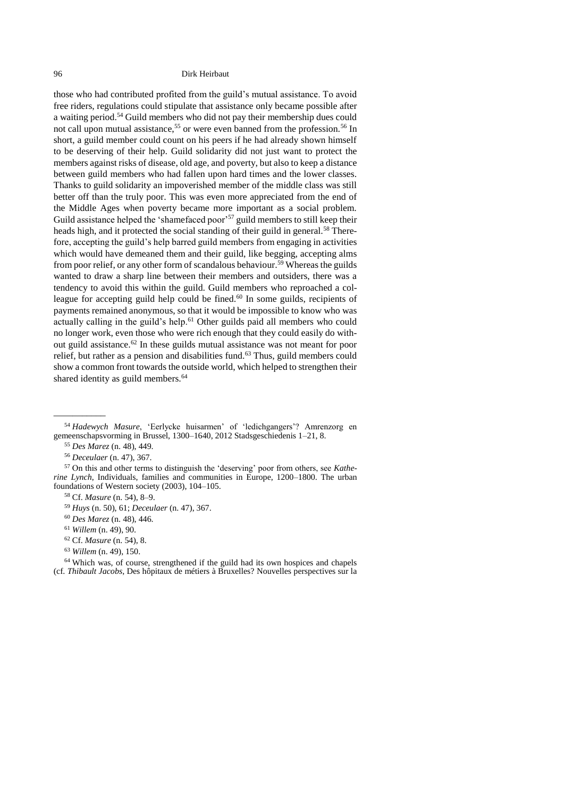<span id="page-7-0"></span>those who had contributed profited from the guild's mutual assistance. To avoid free riders, regulations could stipulate that assistance only became possible after a waiting period.<sup>54</sup> Guild members who did not pay their membership dues could not call upon mutual assistance,<sup>55</sup> or were even banned from the profession.<sup>56</sup> In short, a guild member could count on his peers if he had already shown himself to be deserving of their help. Guild solidarity did not just want to protect the members against risks of disease, old age, and poverty, but also to keep a distance between guild members who had fallen upon hard times and the lower classes. Thanks to guild solidarity an impoverished member of the middle class was still better off than the truly poor. This was even more appreciated from the end of the Middle Ages when poverty became more important as a social problem. Guild assistance helped the 'shamefaced poor'<sup>57</sup> guild members to still keep their heads high, and it protected the social standing of their guild in general.<sup>58</sup> Therefore, accepting the guild's help barred guild members from engaging in activities which would have demeaned them and their guild, like begging, accepting alms from poor relief, or any other form of scandalous behaviour.<sup>59</sup> Whereas the guilds wanted to draw a sharp line between their members and outsiders, there was a tendency to avoid this within the guild. Guild members who reproached a colleague for accepting guild help could be fined.<sup>60</sup> In some guilds, recipients of payments remained anonymous, so that it would be impossible to know who was actually calling in the guild's help.<sup>61</sup> Other guilds paid all members who could no longer work, even those who were rich enough that they could easily do without guild assistance.<sup>62</sup> In these guilds mutual assistance was not meant for poor relief, but rather as a pension and disabilities fund.<sup>63</sup> Thus, guild members could show a common front towards the outside world, which helped to strengthen their shared identity as guild members.<sup>64</sup>

 $\overline{\phantom{a}}$ 

- <sup>62</sup> Cf. *Masure* (n. [54\)](#page-7-0), 8.
- <sup>63</sup> *Willem* (n. [49\)](#page-6-4), 150.

<sup>64</sup> Which was, of course, strengthened if the guild had its own hospices and chapels (cf. *Thibault Jacobs*, Des hôpitaux de métiers à Bruxelles? Nouvelles perspectives sur la

<sup>54</sup> *Hadewych Masure*, 'Eerlycke huisarmen' of 'ledichgangers'? Amrenzorg en gemeenschapsvorming in Brussel, 1300–1640, 2012 Stadsgeschiedenis 1–21, 8.

<sup>55</sup> *Des Marez* (n. [48\)](#page-6-1), 449.

<sup>56</sup> *Deceulaer* (n. [47\)](#page-6-2), 367.

<sup>57</sup> On this and other terms to distinguish the 'deserving' poor from others, see *Katherine Lynch*, Individuals, families and communities in Europe, 1200–1800. The urban foundations of Western society (2003), 104–105.

<sup>58</sup> Cf. *Masure* (n. [54\)](#page-7-0), 8–9.

<sup>59</sup> *Huys* (n. [50\)](#page-6-3), 61; *Deceulaer* (n. [47\)](#page-6-2), 367.

<sup>60</sup> *Des Marez* (n. [48\)](#page-6-1), 446.

<sup>61</sup> *Willem* (n. [49\)](#page-6-4), 90.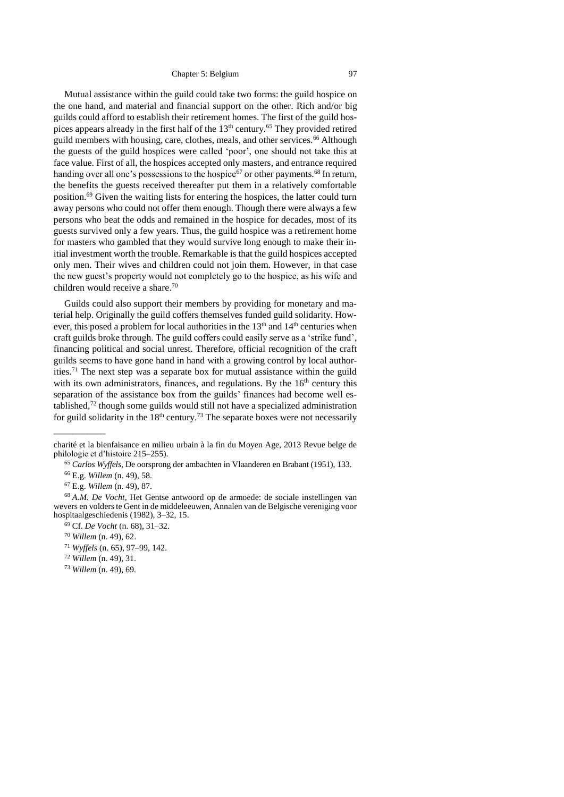<span id="page-8-1"></span><span id="page-8-0"></span>Mutual assistance within the guild could take two forms: the guild hospice on the one hand, and material and financial support on the other. Rich and/or big guilds could afford to establish their retirement homes. The first of the guild hospices appears already in the first half of the 13<sup>th</sup> century.<sup>65</sup> They provided retired guild members with housing, care, clothes, meals, and other services.<sup>66</sup> Although the guests of the guild hospices were called 'poor', one should not take this at face value. First of all, the hospices accepted only masters, and entrance required handing over all one's possessions to the hospice<sup>67</sup> or other payments.<sup>68</sup> In return, the benefits the guests received thereafter put them in a relatively comfortable position.<sup>69</sup> Given the waiting lists for entering the hospices, the latter could turn away persons who could not offer them enough. Though there were always a few persons who beat the odds and remained in the hospice for decades, most of its guests survived only a few years. Thus, the guild hospice was a retirement home for masters who gambled that they would survive long enough to make their initial investment worth the trouble. Remarkable is that the guild hospices accepted only men. Their wives and children could not join them. However, in that case the new guest's property would not completely go to the hospice, as his wife and children would receive a share.<sup>70</sup>

Guilds could also support their members by providing for monetary and material help. Originally the guild coffers themselves funded guild solidarity. However, this posed a problem for local authorities in the 13<sup>th</sup> and 14<sup>th</sup> centuries when craft guilds broke through. The guild coffers could easily serve as a 'strike fund', financing political and social unrest. Therefore, official recognition of the craft guilds seems to have gone hand in hand with a growing control by local authorities.<sup>71</sup> The next step was a separate box for mutual assistance within the guild with its own administrators, finances, and regulations. By the  $16<sup>th</sup>$  century this separation of the assistance box from the guilds' finances had become well established, $72$  though some guilds would still not have a specialized administration for guild solidarity in the  $18<sup>th</sup>$  century.<sup>73</sup> The separate boxes were not necessarily

\_\_\_\_\_\_\_\_\_\_\_

charité et la bienfaisance en milieu urbain à la fin du Moyen Age, 2013 Revue belge de philologie et d'histoire 215–255).

<sup>65</sup> *Carlos Wyffels*, De oorsprong der ambachten in Vlaanderen en Brabant (1951), 133.

<sup>66</sup> E.g. *Willem* (n. [49\)](#page-6-4), 58.

<sup>67</sup> E.g. *Willem* (n. [49\)](#page-6-4), 87.

<sup>68</sup> *A.M. De Vocht*, Het Gentse antwoord op de armoede: de sociale instellingen van wevers en volders te Gent in de middeleeuwen, Annalen van de Belgische vereniging voor hospitaalgeschiedenis (1982), 3–32, 15.

<sup>69</sup> Cf. *De Vocht* (n. [68\)](#page-8-0), 31–32.

<sup>70</sup> *Willem* (n. [49\)](#page-6-4), 62.

<sup>71</sup> *Wyffels* (n. [65\)](#page-8-1), 97–99, 142.

<sup>72</sup> *Willem* (n. [49\)](#page-6-4), 31.

<sup>73</sup> *Willem* (n. [49\)](#page-6-4), 69.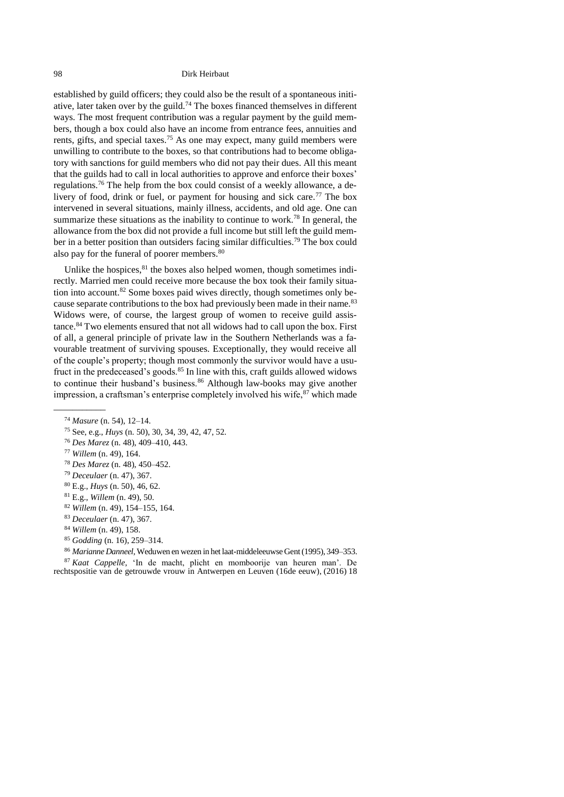established by guild officers; they could also be the result of a spontaneous initiative, later taken over by the guild.<sup>74</sup> The boxes financed themselves in different ways. The most frequent contribution was a regular payment by the guild members, though a box could also have an income from entrance fees, annuities and rents, gifts, and special taxes.<sup>75</sup> As one may expect, many guild members were unwilling to contribute to the boxes, so that contributions had to become obligatory with sanctions for guild members who did not pay their dues. All this meant that the guilds had to call in local authorities to approve and enforce their boxes' regulations.<sup>76</sup> The help from the box could consist of a weekly allowance, a delivery of food, drink or fuel, or payment for housing and sick care.<sup>77</sup> The box intervened in several situations, mainly illness, accidents, and old age. One can summarize these situations as the inability to continue to work.<sup>78</sup> In general, the allowance from the box did not provide a full income but still left the guild member in a better position than outsiders facing similar difficulties. <sup>79</sup> The box could also pay for the funeral of poorer members.<sup>80</sup>

Unlike the hospices, <sup>81</sup> the boxes also helped women, though sometimes indirectly. Married men could receive more because the box took their family situation into account.<sup>82</sup> Some boxes paid wives directly, though sometimes only because separate contributions to the box had previously been made in their name.<sup>83</sup> Widows were, of course, the largest group of women to receive guild assistance.<sup>84</sup> Two elements ensured that not all widows had to call upon the box. First of all, a general principle of private law in the Southern Netherlands was a favourable treatment of surviving spouses. Exceptionally, they would receive all of the couple's property; though most commonly the survivor would have a usufruct in the predeceased's goods.<sup>85</sup> In line with this, craft guilds allowed widows to continue their husband's business.<sup>86</sup> Although law-books may give another impression, a craftsman's enterprise completely involved his wife,  $87$  which made

 $\overline{\phantom{a}}$ 

- <sup>78</sup> *Des Marez* (n. [48\)](#page-6-1), 450–452.
- <sup>79</sup> *Deceulaer* (n. [47\)](#page-6-2), 367.

<sup>82</sup> *Willem* (n. [49\)](#page-6-4), 154–155, 164.

- <sup>85</sup> *Godding* (n. [16\)](#page-2-2), 259–314.
- <sup>86</sup> *Marianne Danneel*, Weduwen en wezen in het laat-middeleeuwse Gent (1995), 349–353.

<sup>87</sup> *Kaat Cappelle,* 'In de macht, plicht en momboorije van heuren man'. De rechtspositie van de getrouwde vrouw in Antwerpen en Leuven (16de eeuw), (2016) 18

<span id="page-9-0"></span><sup>74</sup> *Masure* (n. [54\)](#page-7-0), 12–14.

<sup>75</sup> See, e.g., *Huys* (n. [50\)](#page-6-3), 30, 34, 39, 42, 47, 52.

<sup>76</sup> *Des Marez* (n. [48\)](#page-6-1), 409–410, 443.

<sup>77</sup> *Willem* (n. [49\)](#page-6-4), 164.

<sup>80</sup> E.g., *Huys* (n. [50\)](#page-6-3), 46, 62.

<sup>81</sup> E.g., *Willem* (n. [49\)](#page-6-4), 50.

<sup>83</sup> *Deceulaer* (n. [47\)](#page-6-2), 367.

<sup>84</sup> *Willem* (n. [49\)](#page-6-4), 158.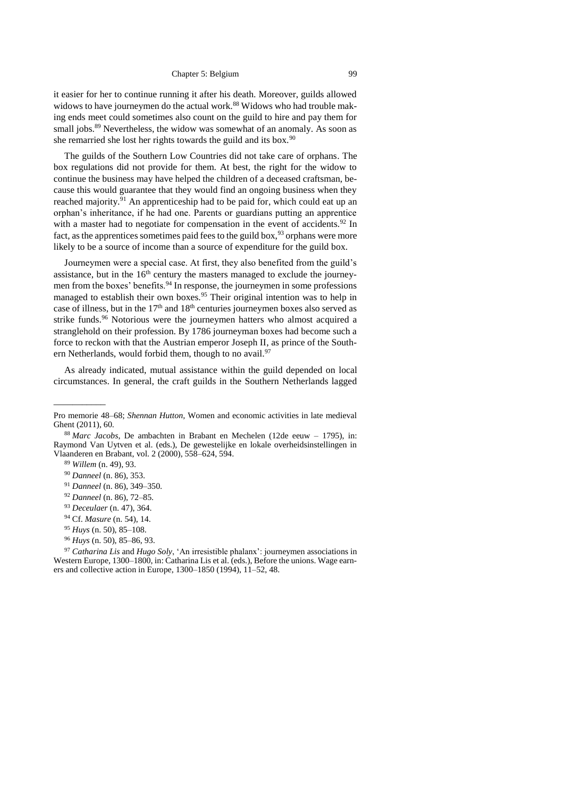it easier for her to continue running it after his death. Moreover, guilds allowed widows to have journeymen do the actual work.<sup>88</sup> Widows who had trouble making ends meet could sometimes also count on the guild to hire and pay them for small jobs.<sup>89</sup> Nevertheless, the widow was somewhat of an anomaly. As soon as she remarried she lost her rights towards the guild and its box.<sup>90</sup>

The guilds of the Southern Low Countries did not take care of orphans. The box regulations did not provide for them. At best, the right for the widow to continue the business may have helped the children of a deceased craftsman, because this would guarantee that they would find an ongoing business when they reached majority.<sup>91</sup> An apprenticeship had to be paid for, which could eat up an orphan's inheritance, if he had one. Parents or guardians putting an apprentice with a master had to negotiate for compensation in the event of accidents.<sup>92</sup> In fact, as the apprentices sometimes paid fees to the guild box,  $93$  orphans were more likely to be a source of income than a source of expenditure for the guild box.

Journeymen were a special case. At first, they also benefited from the guild's assistance, but in the  $16<sup>th</sup>$  century the masters managed to exclude the journeymen from the boxes' benefits.<sup>94</sup> In response, the journeymen in some professions managed to establish their own boxes.<sup>95</sup> Their original intention was to help in case of illness, but in the 17<sup>th</sup> and 18<sup>th</sup> centuries journeymen boxes also served as strike funds.<sup>96</sup> Notorious were the journeymen hatters who almost acquired a stranglehold on their profession. By 1786 journeyman boxes had become such a force to reckon with that the Austrian emperor Joseph II, as prince of the Southern Netherlands, would forbid them, though to no avail.<sup>97</sup>

<span id="page-10-0"></span>As already indicated, mutual assistance within the guild depended on local circumstances. In general, the craft guilds in the Southern Netherlands lagged

Pro memorie 48–68; *Shennan Hutton,* Women and economic activities in late medieval Ghent (2011), 60.

<sup>88</sup> *Marc Jacobs*, De ambachten in Brabant en Mechelen (12de eeuw – 1795), in: Raymond Van Uytven et al. (eds.), De gewestelijke en lokale overheidsinstellingen in Vlaanderen en Brabant, vol. 2 (2000), 558–624, 594.

<sup>89</sup> *Willem* (n. [49\)](#page-6-4), 93.

<sup>90</sup> *Danneel* (n. [86\)](#page-9-0), 353.

<sup>91</sup> *Danneel* (n. [86\)](#page-9-0), 349–350.

<sup>92</sup> *Danneel* (n. [86\)](#page-9-0), 72–85.

<sup>93</sup> *Deceulaer* (n. [47\)](#page-6-2), 364.

<sup>94</sup> Cf. *Masure* (n. [54\)](#page-7-0), 14.

<sup>95</sup> *Huys* (n. [50\)](#page-6-3), 85–108.

<sup>96</sup> *Huys* (n. [50\)](#page-6-3), 85–86, 93.

<sup>97</sup> *Catharina Lis* and *Hugo Soly*, 'An irresistible phalanx': journeymen associations in Western Europe, 1300–1800, in: Catharina Lis et al. (eds.), Before the unions. Wage earners and collective action in Europe, 1300–1850 (1994), 11–52, 48.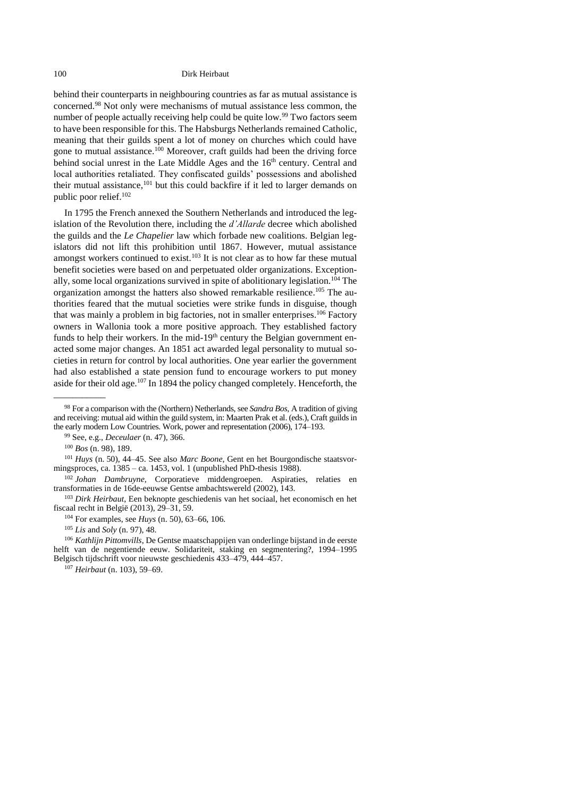<span id="page-11-0"></span>behind their counterparts in neighbouring countries as far as mutual assistance is concerned.<sup>98</sup> Not only were mechanisms of mutual assistance less common, the number of people actually receiving help could be quite low.<sup>99</sup> Two factors seem to have been responsible for this. The Habsburgs Netherlands remained Catholic, meaning that their guilds spent a lot of money on churches which could have gone to mutual assistance.<sup>100</sup> Moreover, craft guilds had been the driving force behind social unrest in the Late Middle Ages and the 16<sup>th</sup> century. Central and local authorities retaliated. They confiscated guilds' possessions and abolished their mutual assistance, <sup>101</sup> but this could backfire if it led to larger demands on public poor relief.<sup>102</sup>

<span id="page-11-1"></span>In 1795 the French annexed the Southern Netherlands and introduced the legislation of the Revolution there, including the *d'Allarde* decree which abolished the guilds and the *Le Chapelier* law which forbade new coalitions. Belgian legislators did not lift this prohibition until 1867. However, mutual assistance amongst workers continued to exist.<sup>103</sup> It is not clear as to how far these mutual benefit societies were based on and perpetuated older organizations. Exceptionally, some local organizations survived in spite of abolitionary legislation.<sup>104</sup> The organization amongst the hatters also showed remarkable resilience.<sup>105</sup> The authorities feared that the mutual societies were strike funds in disguise, though that was mainly a problem in big factories, not in smaller enterprises.<sup>106</sup> Factory owners in Wallonia took a more positive approach. They established factory funds to help their workers. In the mid-19<sup>th</sup> century the Belgian government enacted some major changes. An 1851 act awarded legal personality to mutual societies in return for control by local authorities. One year earlier the government had also established a state pension fund to encourage workers to put money aside for their old age.<sup>107</sup> In 1894 the policy changed completely. Henceforth, the

 $\overline{\phantom{a}}$ 

<sup>106</sup> *Kathlijn Pittomvills*, De Gentse maatschappijen van onderlinge bijstand in de eerste helft van de negentiende eeuw. Solidariteit, staking en segmentering?, 1994–1995 Belgisch tijdschrift voor nieuwste geschiedenis 433–479, 444–457.

<sup>107</sup> *Heirbaut* (n. [103\)](#page-11-1), 59–69.

<sup>98</sup> For a comparison with the (Northern) Netherlands, see *Sandra Bos,* A tradition of giving and receiving: mutual aid within the guild system, in: Maarten Prak et al. (eds.), Craft guilds in the early modern Low Countries. Work, power and representation (2006), 174–193.

<sup>99</sup> See, e.g., *Deceulaer* (n. [47\)](#page-6-2), 366.

<sup>100</sup> *Bos* (n. [98\)](#page-11-0), 189.

<sup>101</sup> *Huys* (n. [50\)](#page-6-3), 44–45. See also *Marc Boone*, Gent en het Bourgondische staatsvormingsproces, ca. 1385 – ca. 1453, vol. 1 (unpublished PhD-thesis 1988).

<sup>102</sup> *Johan Dambruyne,* Corporatieve middengroepen. Aspiraties, relaties en transformaties in de 16de-eeuwse Gentse ambachtswereld (2002), 143.

<sup>103</sup> *Dirk Heirbaut*, Een beknopte geschiedenis van het sociaal, het economisch en het fiscaal recht in België (2013), 29–31, 59.

<sup>104</sup> For examples, see *Huys* (n. [50\)](#page-6-3), 63–66, 106.

<sup>105</sup> *Lis* and *Soly* (n. [97\)](#page-10-0), 48.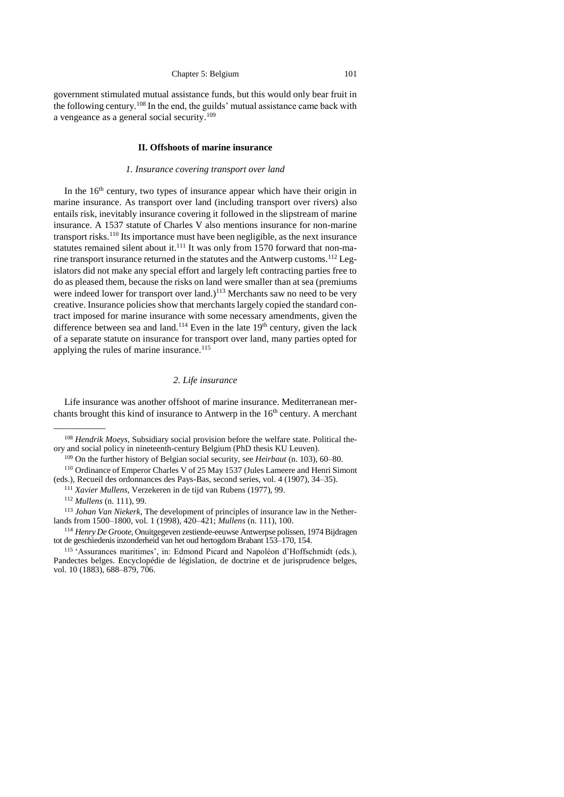<span id="page-12-0"></span>government stimulated mutual assistance funds, but this would only bear fruit in the following century.<sup>108</sup> In the end, the guilds' mutual assistance came back with a vengeance as a general social security.<sup>109</sup>

#### **II. Offshoots of marine insurance**

#### <span id="page-12-3"></span>*1. Insurance covering transport over land*

<span id="page-12-1"></span>In the  $16<sup>th</sup>$  century, two types of insurance appear which have their origin in marine insurance. As transport over land (including transport over rivers) also entails risk, inevitably insurance covering it followed in the slipstream of marine insurance. A 1537 statute of Charles V also mentions insurance for non-marine transport risks.<sup>110</sup> Its importance must have been negligible, as the next insurance statutes remained silent about it.<sup>111</sup> It was only from 1570 forward that non-marine transport insurance returned in the statutes and the Antwerp customs.<sup>112</sup> Legislators did not make any special effort and largely left contracting parties free to do as pleased them, because the risks on land were smaller than at sea (premiums were indeed lower for transport over land.)<sup>113</sup> Merchants saw no need to be very creative. Insurance policies show that merchants largely copied the standard contract imposed for marine insurance with some necessary amendments, given the difference between sea and land.<sup>114</sup> Even in the late  $19<sup>th</sup>$  century, given the lack of a separate statute on insurance for transport over land, many parties opted for applying the rules of marine insurance.<sup>115</sup>

# <span id="page-12-5"></span><span id="page-12-4"></span>*2. Life insurance*

<span id="page-12-2"></span>Life insurance was another offshoot of marine insurance. Mediterranean merchants brought this kind of insurance to Antwerp in the  $16<sup>th</sup>$  century. A merchant

<sup>108</sup> *Hendrik Moeys*, Subsidiary social provision before the welfare state. Political theory and social policy in nineteenth-century Belgium (PhD thesis KU Leuven).

<sup>109</sup> On the further history of Belgian social security, see *Heirbaut* (n. [103\)](#page-11-1), 60–80.

<sup>110</sup> Ordinance of Emperor Charles V of 25 May 1537 (Jules Lameere and Henri Simont (eds.), Recueil des ordonnances des Pays-Bas, second series, vol. 4 (1907), 34–35).

<sup>111</sup> *Xavier Mullens*, Verzekeren in de tijd van Rubens (1977), 99.

<sup>112</sup> *Mullens* (n. [111\)](#page-12-3), 99.

<sup>113</sup> *Johan Van Niekerk*, The development of principles of insurance law in the Netherlands from 1500–1800, vol. 1 (1998), 420–421; *Mullens* (n. 111), 100.

<sup>114</sup> *Henry De Groote*, Onuitgegeven zestiende-eeuwse Antwerpse polissen, 1974 Bijdragen tot de geschiedenis inzonderheid van het oud hertogdom Brabant 153–170, 154.

<sup>115</sup> 'Assurances maritimes', in: Edmond Picard and Napoléon d'Hoffschmidt (eds.), Pandectes belges. Encyclopédie de législation, de doctrine et de jurisprudence belges, vol. 10 (1883), 688–879, 706.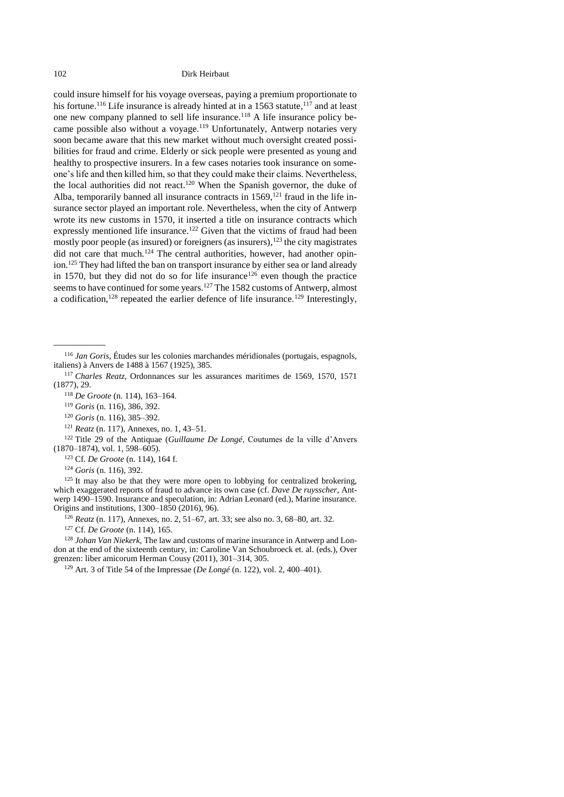<span id="page-13-1"></span><span id="page-13-0"></span>could insure himself for his voyage overseas, paying a premium proportionate to his fortune.<sup>116</sup> Life insurance is already hinted at in a 1563 statute,<sup>117</sup> and at least one new company planned to sell life insurance.<sup>118</sup> A life insurance policy became possible also without a voyage.<sup>119</sup> Unfortunately, Antwerp notaries very soon became aware that this new market without much oversight created possibilities for fraud and crime. Elderly or sick people were presented as young and healthy to prospective insurers. In a few cases notaries took insurance on someone's life and then killed him, so that they could make their claims. Nevertheless, the local authorities did not react.<sup>120</sup> When the Spanish governor, the duke of Alba, temporarily banned all insurance contracts in  $1569$ ,<sup>121</sup> fraud in the life insurance sector played an important role. Nevertheless, when the city of Antwerp wrote its new customs in 1570, it inserted a title on insurance contracts which expressly mentioned life insurance.<sup>122</sup> Given that the victims of fraud had been mostly poor people (as insured) or foreigners (as insurers), <sup>123</sup> the city magistrates did not care that much.<sup>124</sup> The central authorities, however, had another opinion.<sup>125</sup> They had lifted the ban on transport insurance by either sea or land already in 1570, but they did not do so for life insurance<sup>126</sup> even though the practice seems to have continued for some years.<sup>127</sup> The 1582 customs of Antwerp, almost a codification,<sup>128</sup> repeated the earlier defence of life insurance.<sup>129</sup> Interestingly,

<sup>118</sup> *De Groote* (n. [114\)](#page-12-4), 163–164.

<sup>120</sup> *Goris* (n. [116\)](#page-13-0), 385–392.

<span id="page-13-3"></span><span id="page-13-2"></span> $\overline{\phantom{a}}$ 

<sup>122</sup> Title 29 of the Antiquae (*Guillaume De Longé*, Coutumes de la ville d'Anvers (1870–1874), vol. 1, 598–605).

<sup>123</sup> Cf. *De Groote* (n. [114\)](#page-12-4), 164 f.

<sup>124</sup> *Goris* (n. [116\)](#page-13-0), 392.

 $125$  It may also be that they were more open to lobbying for centralized brokering, which exaggerated reports of fraud to advance its own case (cf. *Dave De ruysscher*, Antwerp 1490–1590. Insurance and speculation, in: Adrian Leonard (ed.), Marine insurance. Origins and institutions, 1300–1850 (2016), 96).

<sup>126</sup> *Reatz* (n. [117\)](#page-13-1), Annexes, no. 2, 51–67, art. 33; see also no. 3, 68–80, art. 32.

<sup>127</sup> Cf. *De Groote* (n. [114\)](#page-12-4), 165.

<sup>128</sup> *Johan Van Niekerk*, The law and customs of marine insurance in Antwerp and London at the end of the sixteenth century, in: Caroline Van Schoubroeck et. al. (eds.), Over grenzen: liber amicorum Herman Cousy (2011), 301–314, 305.

<sup>129</sup> Art. 3 of Title 54 of the Impressae (*De Longé* (n. [122\)](#page-13-2), vol. 2, 400–401).

<sup>116</sup> *Jan Goris*, Études sur les colonies marchandes méridionales (portugais, espagnols, italiens) à Anvers de 1488 à 1567 (1925), 385.

<sup>117</sup> *Charles Reatz*, Ordonnances sur les assurances maritimes de 1569, 1570, 1571 (1877), 29.

<sup>119</sup> *Goris* (n. [116\)](#page-13-0), 386, 392.

<sup>121</sup> *Reatz* (n. [117\)](#page-13-1), Annexes, no. 1, 43–51.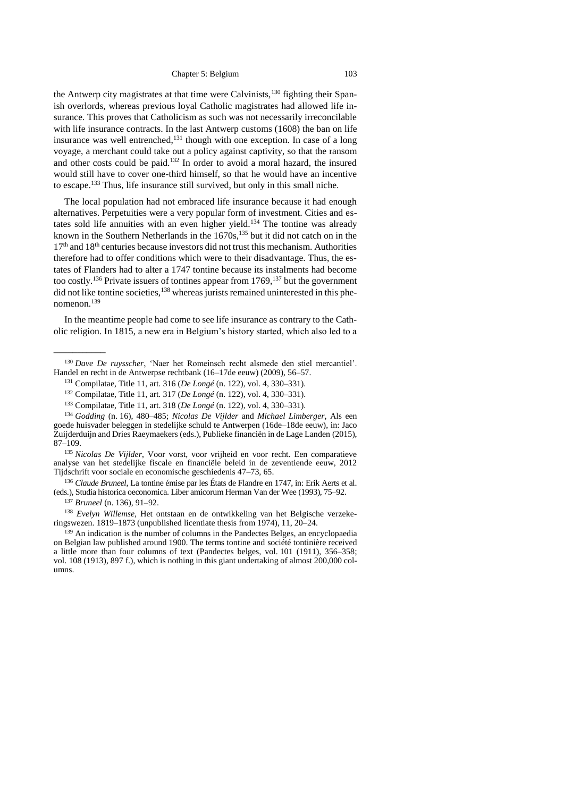the Antwerp city magistrates at that time were Calvinists,<sup>130</sup> fighting their Spanish overlords, whereas previous loyal Catholic magistrates had allowed life insurance. This proves that Catholicism as such was not necessarily irreconcilable with life insurance contracts. In the last Antwerp customs (1608) the ban on life insurance was well entrenched,<sup>131</sup> though with one exception. In case of a long voyage, a merchant could take out a policy against captivity, so that the ransom and other costs could be paid.<sup>132</sup> In order to avoid a moral hazard, the insured would still have to cover one-third himself, so that he would have an incentive to escape.<sup>133</sup> Thus, life insurance still survived, but only in this small niche.

The local population had not embraced life insurance because it had enough alternatives. Perpetuities were a very popular form of investment. Cities and estates sold life annuities with an even higher yield.<sup>134</sup> The tontine was already known in the Southern Netherlands in the  $1670s$ ,<sup>135</sup> but it did not catch on in the  $17<sup>th</sup>$  and  $18<sup>th</sup>$  centuries because investors did not trust this mechanism. Authorities therefore had to offer conditions which were to their disadvantage. Thus, the estates of Flanders had to alter a 1747 tontine because its instalments had become too costly.<sup>136</sup> Private issuers of tontines appear from 1769,<sup>137</sup> but the government did not like tontine societies, $138$  whereas jurists remained uninterested in this phenomenon.<sup>139</sup>

<span id="page-14-0"></span>In the meantime people had come to see life insurance as contrary to the Catholic religion. In 1815, a new era in Belgium's history started, which also led to a

<sup>134</sup> *Godding* (n. [16\)](#page-2-2), 480–485; *Nicolas De Vijlder* and *Michael Limberger*, Als een goede huisvader beleggen in stedelijke schuld te Antwerpen (16de–18de eeuw), in: Jaco Zuijderduijn and Dries Raeymaekers (eds.), Publieke financiën in de Lage Landen (2015), 87–109.

<sup>135</sup> *Nicolas De Vijlder*, Voor vorst, voor vrijheid en voor recht. Een comparatieve analyse van het stedelijke fiscale en financiële beleid in de zeventiende eeuw, 2012 Tijdschrift voor sociale en economische geschiedenis 47–73, 65.

<sup>136</sup> *Claude Bruneel*, La tontine émise par les États de Flandre en 1747, in: Erik Aerts et al. (eds.), Studia historica oeconomica. Liber amicorum Herman Van der Wee (1993), 75–92.

<sup>137</sup> *Bruneel* (n. [136\)](#page-14-0), 91–92.

 $\overline{\phantom{a}}$ 

<sup>138</sup> *Evelyn Willemse*, Het ontstaan en de ontwikkeling van het Belgische verzekeringswezen. 1819–1873 (unpublished licentiate thesis from 1974), 11, 20–24.

<sup>139</sup> An indication is the number of columns in the Pandectes Belges, an encyclopaedia on Belgian law published around 1900. The terms tontine and société tontinière received a little more than four columns of text (Pandectes belges, vol. 101 (1911), 356–358; vol. 108 (1913), 897 f.), which is nothing in this giant undertaking of almost 200,000 columns.

<sup>130</sup> *Dave De ruysscher*, 'Naer het Romeinsch recht alsmede den stiel mercantiel'. Handel en recht in de Antwerpse rechtbank (16–17de eeuw) (2009), 56–57.

<sup>131</sup> Compilatae, Title 11, art. 316 (*De Longé* (n. [122\)](#page-13-2), vol. 4, 330–331).

<sup>132</sup> Compilatae, Title 11, art. 317 (*De Longé* (n. [122\)](#page-13-2), vol. 4, 330–331).

<sup>133</sup> Compilatae, Title 11, art. 318 (*De Longé* (n. [122\)](#page-13-2), vol. 4, 330–331).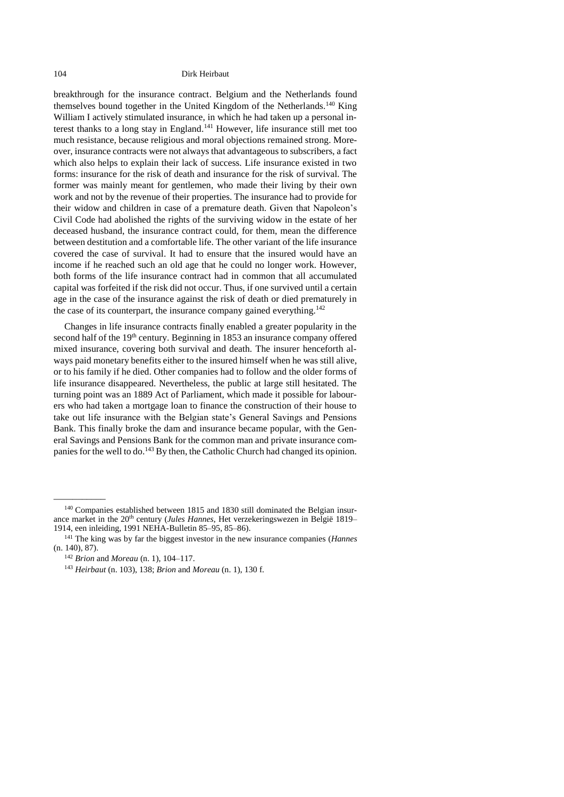breakthrough for the insurance contract. Belgium and the Netherlands found themselves bound together in the United Kingdom of the Netherlands.<sup>140</sup> King William I actively stimulated insurance, in which he had taken up a personal interest thanks to a long stay in England. <sup>141</sup> However, life insurance still met too much resistance, because religious and moral objections remained strong. Moreover, insurance contracts were not always that advantageous to subscribers, a fact which also helps to explain their lack of success. Life insurance existed in two forms: insurance for the risk of death and insurance for the risk of survival. The former was mainly meant for gentlemen, who made their living by their own work and not by the revenue of their properties. The insurance had to provide for their widow and children in case of a premature death. Given that Napoleon's Civil Code had abolished the rights of the surviving widow in the estate of her deceased husband, the insurance contract could, for them, mean the difference between destitution and a comfortable life. The other variant of the life insurance covered the case of survival. It had to ensure that the insured would have an income if he reached such an old age that he could no longer work. However, both forms of the life insurance contract had in common that all accumulated capital was forfeited if the risk did not occur. Thus, if one survived until a certain age in the case of the insurance against the risk of death or died prematurely in the case of its counterpart, the insurance company gained everything.<sup>142</sup>

Changes in life insurance contracts finally enabled a greater popularity in the second half of the 19<sup>th</sup> century. Beginning in 1853 an insurance company offered mixed insurance, covering both survival and death. The insurer henceforth always paid monetary benefits either to the insured himself when he was still alive, or to his family if he died. Other companies had to follow and the older forms of life insurance disappeared. Nevertheless, the public at large still hesitated. The turning point was an 1889 Act of Parliament, which made it possible for labourers who had taken a mortgage loan to finance the construction of their house to take out life insurance with the Belgian state's General Savings and Pensions Bank. This finally broke the dam and insurance became popular, with the General Savings and Pensions Bank for the common man and private insurance companies for the well to do.<sup>143</sup> By then, the Catholic Church had changed its opinion.

\_\_\_\_\_\_\_\_\_\_\_

<sup>140</sup> Companies established between 1815 and 1830 still dominated the Belgian insurance market in the 20<sup>th</sup> century (*Jules Hannes*, Het verzekeringswezen in België 1819– 1914, een inleiding, 1991 NEHA-Bulletin 85–95, 85–86).

<sup>141</sup> The king was by far the biggest investor in the new insurance companies (*Hannes* (n. 140), 87).

<sup>142</sup> *Brion* and *Moreau* (n. [1\)](#page-1-0), 104–117.

<sup>143</sup> *Heirbaut* (n. [103\)](#page-11-1), 138; *Brion* and *Moreau* (n. 1), 130 f.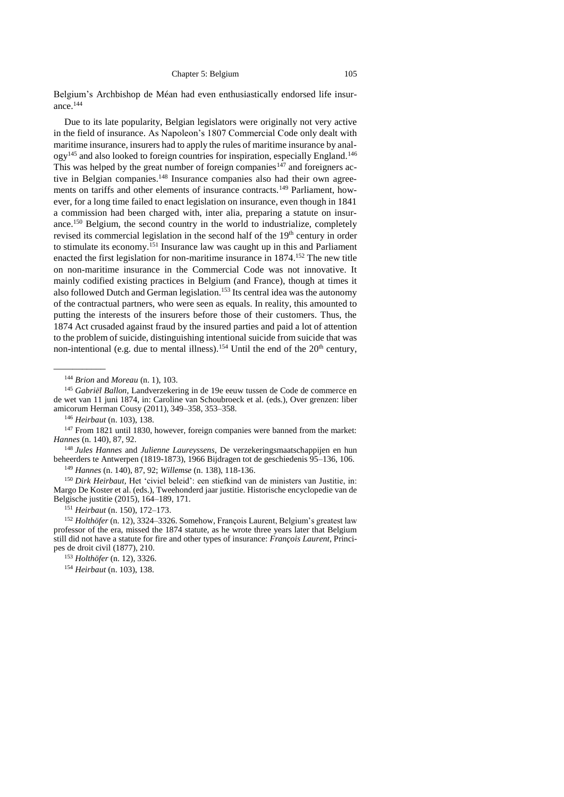Belgium's Archbishop de Méan had even enthusiastically endorsed life insurance.<sup>144</sup>

Due to its late popularity, Belgian legislators were originally not very active in the field of insurance. As Napoleon's 1807 Commercial Code only dealt with maritime insurance, insurers had to apply the rules of maritime insurance by analogy<sup>145</sup> and also looked to foreign countries for inspiration, especially England.<sup>146</sup> This was helped by the great number of foreign companies<sup>147</sup> and foreigners active in Belgian companies.<sup>148</sup> Insurance companies also had their own agreements on tariffs and other elements of insurance contracts.<sup>149</sup> Parliament, however, for a long time failed to enact legislation on insurance, even though in 1841 a commission had been charged with, inter alia, preparing a statute on insurance.<sup>150</sup> Belgium, the second country in the world to industrialize, completely revised its commercial legislation in the second half of the 19<sup>th</sup> century in order to stimulate its economy.<sup>151</sup> Insurance law was caught up in this and Parliament enacted the first legislation for non-maritime insurance in  $1874$ .<sup>152</sup> The new title on non-maritime insurance in the Commercial Code was not innovative. It mainly codified existing practices in Belgium (and France), though at times it also followed Dutch and German legislation.<sup>153</sup> Its central idea was the autonomy of the contractual partners, who were seen as equals. In reality, this amounted to putting the interests of the insurers before those of their customers. Thus, the 1874 Act crusaded against fraud by the insured parties and paid a lot of attention to the problem of suicide, distinguishing intentional suicide from suicide that was non-intentional (e.g. due to mental illness).<sup>154</sup> Until the end of the  $20<sup>th</sup>$  century,

<sup>146</sup> *Heirbaut* (n. [103\)](#page-11-1), 138.

 $\overline{\phantom{a}}$ 

<sup>147</sup> From 1821 until 1830, however, foreign companies were banned from the market: *Hannes* (n. 140), 87, 92.

<sup>148</sup> *Jules Hannes* and *Julienne Laureyssens*, De verzekeringsmaatschappijen en hun beheerders te Antwerpen (1819-1873), 1966 Bijdragen tot de geschiedenis 95–136, 106.

<sup>149</sup> *Hannes* (n. 140), 87, 92; *Willemse* (n. 138), 118-136.

<sup>150</sup> *Dirk Heirbaut,* Het 'civiel beleid': een stiefkind van de ministers van Justitie, in: Margo De Koster et al. (eds.), Tweehonderd jaar justitie. Historische encyclopedie van de Belgische justitie (2015), 164–189, 171.

<sup>151</sup> *Heirbaut* (n. 150), 172–173.

<sup>152</sup> *Holthöfer* (n. [12\)](#page-1-2), 3324–3326. Somehow, François Laurent, Belgium's greatest law professor of the era, missed the 1874 statute, as he wrote three years later that Belgium still did not have a statute for fire and other types of insurance: *François Laurent*, Principes de droit civil (1877), 210.

<sup>153</sup> *Holthöfer* (n. [12\)](#page-1-2), 3326.

<sup>154</sup> *Heirbaut* (n. [103\)](#page-11-1), 138.

<sup>144</sup> *Brion* and *Moreau* (n. [1\)](#page-1-0), 103.

<sup>145</sup> *Gabriël Ballon*, Landverzekering in de 19e eeuw tussen de Code de commerce en de wet van 11 juni 1874, in: Caroline van Schoubroeck et al. (eds.), Over grenzen: liber amicorum Herman Cousy (2011), 349–358, 353–358.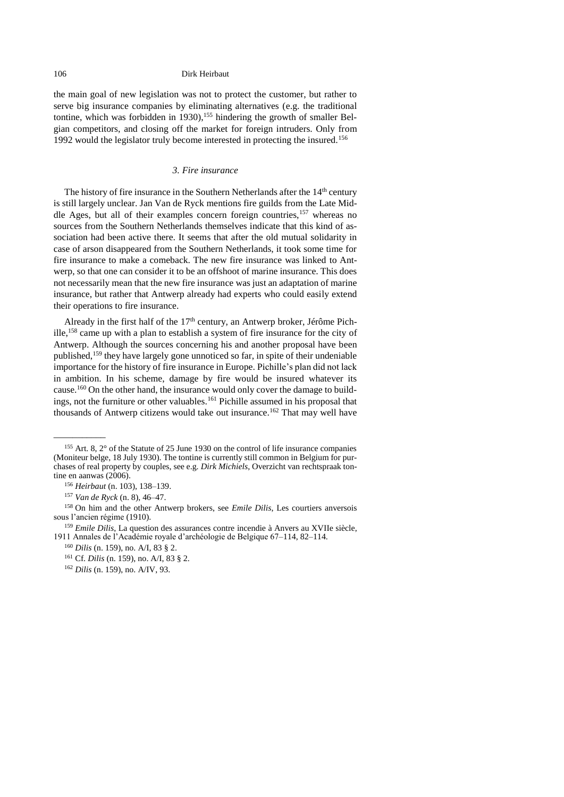the main goal of new legislation was not to protect the customer, but rather to serve big insurance companies by eliminating alternatives (e.g. the traditional tontine, which was forbidden in 1930),<sup>155</sup> hindering the growth of smaller Belgian competitors, and closing off the market for foreign intruders. Only from 1992 would the legislator truly become interested in protecting the insured.<sup>156</sup>

# *3. Fire insurance*

<span id="page-17-0"></span>The history of fire insurance in the Southern Netherlands after the 14<sup>th</sup> century is still largely unclear. Jan Van de Ryck mentions fire guilds from the Late Middle Ages, but all of their examples concern foreign countries,<sup>157</sup> whereas no sources from the Southern Netherlands themselves indicate that this kind of association had been active there. It seems that after the old mutual solidarity in case of arson disappeared from the Southern Netherlands, it took some time for fire insurance to make a comeback. The new fire insurance was linked to Antwerp, so that one can consider it to be an offshoot of marine insurance. This does not necessarily mean that the new fire insurance was just an adaptation of marine insurance, but rather that Antwerp already had experts who could easily extend their operations to fire insurance.

Already in the first half of the  $17<sup>th</sup>$  century, an Antwerp broker, Jérôme Pichille, <sup>158</sup> came up with a plan to establish a system of fire insurance for the city of Antwerp. Although the sources concerning his and another proposal have been published,<sup>159</sup> they have largely gone unnoticed so far, in spite of their undeniable importance for the history of fire insurance in Europe. Pichille's plan did not lack in ambition. In his scheme, damage by fire would be insured whatever its cause.<sup>160</sup> On the other hand, the insurance would only cover the damage to buildings, not the furniture or other valuables.<sup>161</sup> Pichille assumed in his proposal that thousands of Antwerp citizens would take out insurance.<sup>162</sup> That may well have

<sup>155</sup> Art. 8, 2° of the Statute of 25 June 1930 on the control of life insurance companies (Moniteur belge, 18 July 1930). The tontine is currently still common in Belgium for purchases of real property by couples, see e.g. *Dirk Michiels*, Overzicht van rechtspraak tontine en aanwas (2006).

<sup>156</sup> *Heirbaut* (n. [103\)](#page-11-1), 138–139.

<sup>157</sup> *Van de Ryck* (n. [8\)](#page-1-3), 46–47.

<sup>158</sup> On him and the other Antwerp brokers, see *Emile Dilis*, Les courtiers anversois sous l'ancien régime (1910).

<sup>&</sup>lt;sup>159</sup> *Emile Dilis*, La question des assurances contre incendie à Anvers au XVIIe siècle, 1911 Annales de l'Académie royale d'archéologie de Belgique 67–114, 82–114.

<sup>160</sup> *Dilis* (n. 159), no. A/I, 83 § 2.

<sup>161</sup> Cf. *Dilis* (n. 159), no. A/I, 83 § 2.

<sup>162</sup> *Dilis* (n. 159), no. A/IV, 93.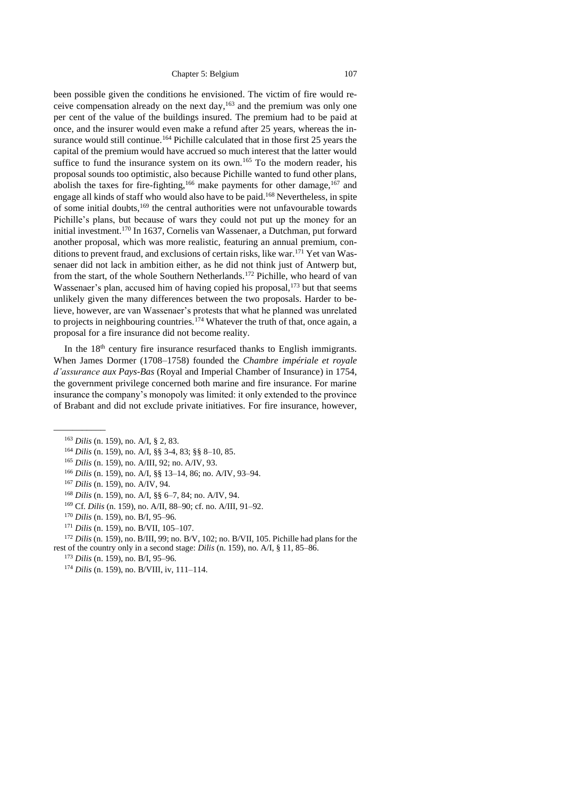been possible given the conditions he envisioned. The victim of fire would receive compensation already on the next day, <sup>163</sup> and the premium was only one per cent of the value of the buildings insured. The premium had to be paid at once, and the insurer would even make a refund after 25 years, whereas the insurance would still continue.<sup>164</sup> Pichille calculated that in those first 25 years the capital of the premium would have accrued so much interest that the latter would suffice to fund the insurance system on its own.<sup>165</sup> To the modern reader, his proposal sounds too optimistic, also because Pichille wanted to fund other plans, abolish the taxes for fire-fighting,  $166$  make payments for other damage,  $167$  and engage all kinds of staff who would also have to be paid. <sup>168</sup> Nevertheless, in spite of some initial doubts,<sup>169</sup> the central authorities were not unfavourable towards Pichille's plans, but because of wars they could not put up the money for an initial investment.<sup>170</sup> In 1637, Cornelis van Wassenaer, a Dutchman, put forward another proposal, which was more realistic, featuring an annual premium, conditions to prevent fraud, and exclusions of certain risks, like war.<sup>171</sup> Yet van Wassenaer did not lack in ambition either, as he did not think just of Antwerp but, from the start, of the whole Southern Netherlands.<sup>172</sup> Pichille, who heard of van Wassenaer's plan, accused him of having copied his proposal,<sup>173</sup> but that seems unlikely given the many differences between the two proposals. Harder to believe, however, are van Wassenaer's protests that what he planned was unrelated to projects in neighbouring countries.<sup>174</sup> Whatever the truth of that, once again, a proposal for a fire insurance did not become reality.

In the  $18<sup>th</sup>$  century fire insurance resurfaced thanks to English immigrants. When James Dormer (1708–1758) founded the *Chambre impériale et royale d'assurance aux Pays-Bas* (Royal and Imperial Chamber of Insurance) in 1754, the government privilege concerned both marine and fire insurance. For marine insurance the company's monopoly was limited: it only extended to the province of Brabant and did not exclude private initiatives. For fire insurance, however,

 $\overline{\phantom{a}}$ 

- <sup>167</sup> *Dilis* (n. 159), no. A/IV, 94.
- <sup>168</sup> *Dilis* (n. 159), no. A/I, §§ 6–7, 84; no. A/IV, 94.
- <sup>169</sup> Cf. *Dilis* (n. 159), no. A/II, 88–90; cf. no. A/III, 91–92.
- <sup>170</sup> *Dilis* (n. 159), no. B/I, 95–96.
- <sup>171</sup> *Dilis* (n. 159), no. B/VII, 105–107.

<sup>172</sup> *Dilis* (n. 159), no. B/III, 99; no. B/V, 102; no. B/VII, 105. Pichille had plans for the rest of the country only in a second stage: *Dilis* (n. 159), no. A/I, § 11, 85–86.

- <sup>173</sup> *Dilis* (n. 159), no. B/I, 95–96.
- <sup>174</sup> *Dilis* (n. 159), no. B/VIII, iv, 111–114.

<sup>163</sup> *Dilis* (n. 159), no. A/I, § 2, 83.

<sup>164</sup> *Dilis* (n. 159), no. A/I, §§ 3-4, 83; §§ 8–10, 85.

<sup>165</sup> *Dilis* (n. 159), no. A/III, 92; no. A/IV, 93.

<sup>166</sup> *Dilis* (n. 159), no. A/I, §§ 13–14, 86; no. A/IV, 93–94.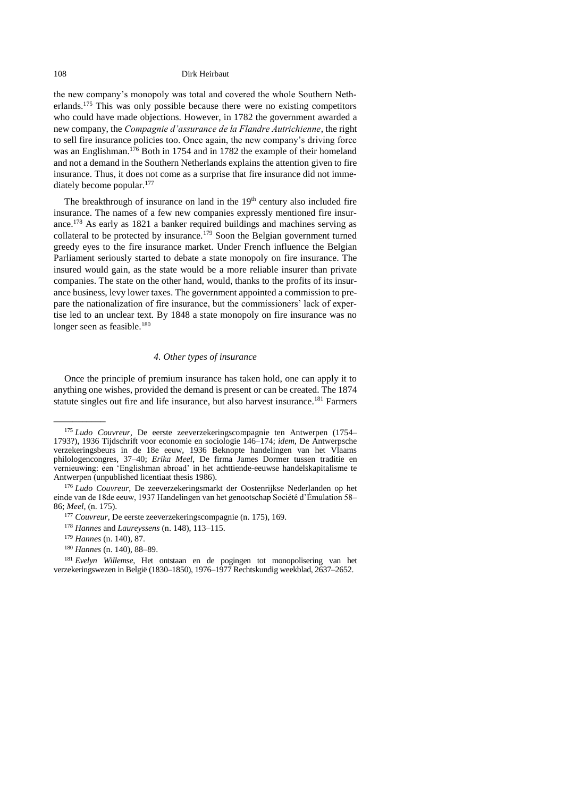<span id="page-19-1"></span>the new company's monopoly was total and covered the whole Southern Netherlands.<sup>175</sup> This was only possible because there were no existing competitors who could have made objections. However, in 1782 the government awarded a new company, the *Compagnie d'assurance de la Flandre Autrichienne*, the right to sell fire insurance policies too. Once again, the new company's driving force was an Englishman.<sup>176</sup> Both in 1754 and in 1782 the example of their homeland and not a demand in the Southern Netherlands explains the attention given to fire insurance. Thus, it does not come as a surprise that fire insurance did not immediately become popular.<sup>177</sup>

The breakthrough of insurance on land in the  $19<sup>th</sup>$  century also included fire insurance. The names of a few new companies expressly mentioned fire insurance.<sup>178</sup> As early as 1821 a banker required buildings and machines serving as collateral to be protected by insurance.<sup>179</sup> Soon the Belgian government turned greedy eyes to the fire insurance market. Under French influence the Belgian Parliament seriously started to debate a state monopoly on fire insurance. The insured would gain, as the state would be a more reliable insurer than private companies. The state on the other hand, would, thanks to the profits of its insurance business, levy lower taxes. The government appointed a commission to prepare the nationalization of fire insurance, but the commissioners' lack of expertise led to an unclear text. By 1848 a state monopoly on fire insurance was no longer seen as feasible.<sup>180</sup>

# *4. Other types of insurance*

<span id="page-19-0"></span>Once the principle of premium insurance has taken hold, one can apply it to anything one wishes, provided the demand is present or can be created. The 1874 statute singles out fire and life insurance, but also harvest insurance. <sup>181</sup> Farmers

 $\overline{\phantom{a}}$ 

<sup>180</sup> *Hannes* (n. 140), 88–89.

<sup>175</sup> *Ludo Couvreur*, De eerste zeeverzekeringscompagnie ten Antwerpen (1754– 1793?), 1936 Tijdschrift voor economie en sociologie 146–174; *idem*, De Antwerpsche verzekeringsbeurs in de 18e eeuw, 1936 Beknopte handelingen van het Vlaams philologencongres, 37–40; *Erika Meel*, De firma James Dormer tussen traditie en vernieuwing: een 'Englishman abroad' in het achttiende-eeuwse handelskapitalisme te Antwerpen (unpublished licentiaat thesis 1986).

<sup>176</sup> *Ludo Couvreur*, De zeeverzekeringsmarkt der Oostenrijkse Nederlanden op het einde van de 18de eeuw, 1937 Handelingen van het genootschap Société d'Émulation 58– 86; *Meel*, (n. [175\)](#page-19-1).

<sup>177</sup> *Couvreur*, De eerste zeeverzekeringscompagnie (n. 175), 169.

<sup>178</sup> *Hannes* and *Laureyssens* (n. 148), 113–115.

<sup>179</sup> *Hannes* (n. 140), 87.

<sup>181</sup> *Evelyn Willemse*, Het ontstaan en de pogingen tot monopolisering van het verzekeringswezen in België (1830–1850), 1976–1977 Rechtskundig weekblad, 2637–2652.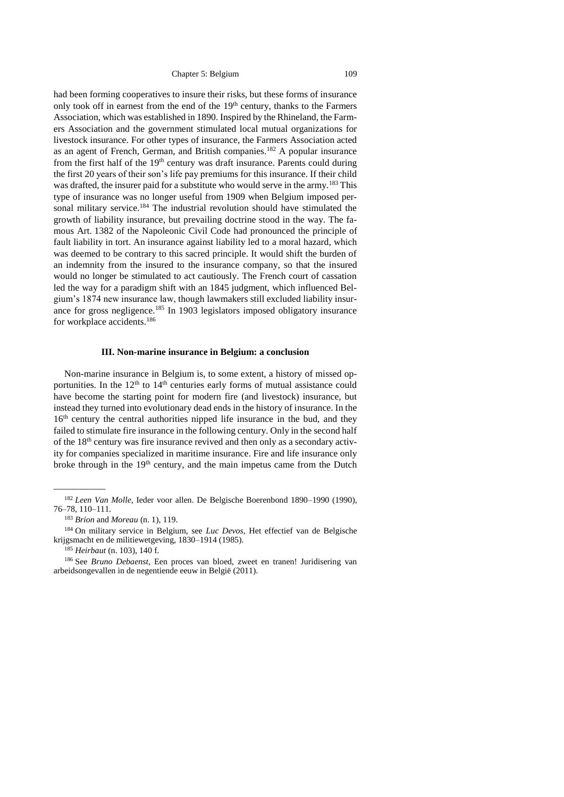had been forming cooperatives to insure their risks, but these forms of insurance only took off in earnest from the end of the  $19<sup>th</sup>$  century, thanks to the Farmers Association, which was established in 1890. Inspired by the Rhineland, the Farmers Association and the government stimulated local mutual organizations for livestock insurance. For other types of insurance, the Farmers Association acted as an agent of French, German, and British companies.<sup>182</sup> A popular insurance from the first half of the 19<sup>th</sup> century was draft insurance. Parents could during the first 20 years of their son's life pay premiums for this insurance. If their child was drafted, the insurer paid for a substitute who would serve in the army.<sup>183</sup> This type of insurance was no longer useful from 1909 when Belgium imposed personal military service.<sup>184</sup> The industrial revolution should have stimulated the growth of liability insurance, but prevailing doctrine stood in the way. The famous Art. 1382 of the Napoleonic Civil Code had pronounced the principle of fault liability in tort. An insurance against liability led to a moral hazard, which was deemed to be contrary to this sacred principle. It would shift the burden of an indemnity from the insured to the insurance company, so that the insured would no longer be stimulated to act cautiously. The French court of cassation led the way for a paradigm shift with an 1845 judgment, which influenced Belgium's 1874 new insurance law, though lawmakers still excluded liability insurance for gross negligence. <sup>185</sup> In 1903 legislators imposed obligatory insurance for workplace accidents. 186

### **III. Non-marine insurance in Belgium: a conclusion**

<span id="page-20-0"></span>Non-marine insurance in Belgium is, to some extent, a history of missed opportunities. In the  $12<sup>th</sup>$  to  $14<sup>th</sup>$  centuries early forms of mutual assistance could have become the starting point for modern fire (and livestock) insurance, but instead they turned into evolutionary dead ends in the history of insurance. In the 16<sup>th</sup> century the central authorities nipped life insurance in the bud, and they failed to stimulate fire insurance in the following century. Only in the second half of the 18th century was fire insurance revived and then only as a secondary activity for companies specialized in maritime insurance. Fire and life insurance only broke through in the  $19<sup>th</sup>$  century, and the main impetus came from the Dutch

\_\_\_\_\_\_\_\_\_\_\_

<sup>182</sup> *Leen Van Molle,* Ieder voor allen. De Belgische Boerenbond 1890–1990 (1990), 76–78, 110–111.

<sup>183</sup> *Brion* and *Moreau* (n. [1\)](#page-1-0), 119.

<sup>184</sup> On military service in Belgium, see *Luc Devos*, Het effectief van de Belgische krijgsmacht en de militiewetgeving, 1830–1914 (1985).

<sup>185</sup> *Heirbaut* (n. 103), 140 f.

<sup>186</sup> See *Bruno Debaenst,* Een proces van bloed, zweet en tranen! Juridisering van arbeidsongevallen in de negentiende eeuw in België (2011).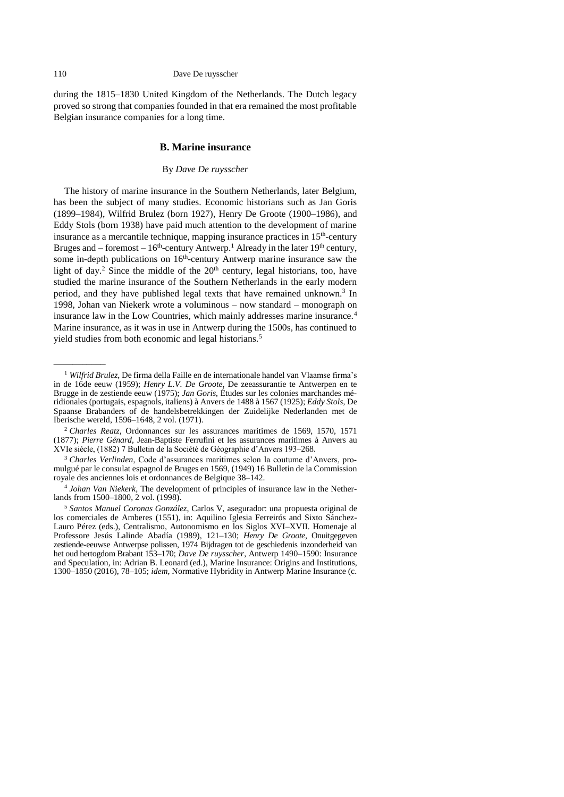#### 110 Dave De ruysscher

<span id="page-21-0"></span>during the 1815–1830 United Kingdom of the Netherlands. The Dutch legacy proved so strong that companies founded in that era remained the most profitable Belgian insurance companies for a long time.

#### **B. Marine insurance**

## <span id="page-21-4"></span><span id="page-21-3"></span><span id="page-21-2"></span><span id="page-21-1"></span>By *Dave De ruysscher*

<span id="page-21-5"></span>The history of marine insurance in the Southern Netherlands, later Belgium, has been the subject of many studies. Economic historians such as Jan Goris (1899–1984), Wilfrid Brulez (born 1927), Henry De Groote (1900–1986), and Eddy Stols (born 1938) have paid much attention to the development of marine insurance as a mercantile technique, mapping insurance practices in  $15<sup>th</sup>$ -century Bruges and – foremost –  $16<sup>th</sup>$ -century Antwerp.<sup>1</sup> Already in the later  $19<sup>th</sup>$  century, some in-depth publications on  $16<sup>th</sup>$ -century Antwerp marine insurance saw the light of day.<sup>2</sup> Since the middle of the  $20<sup>th</sup>$  century, legal historians, too, have studied the marine insurance of the Southern Netherlands in the early modern period, and they have published legal texts that have remained unknown.<sup>3</sup> In 1998, Johan van Niekerk wrote a voluminous – now standard – monograph on insurance law in the Low Countries, which mainly addresses marine insurance.<sup>4</sup> Marine insurance, as it was in use in Antwerp during the 1500s, has continued to yield studies from both economic and legal historians.<sup>5</sup>

<sup>1</sup> *Wilfrid Brulez*, De firma della Faille en de internationale handel van Vlaamse firma's in de 16de eeuw (1959); *Henry L.V. De Groote,* De zeeassurantie te Antwerpen en te Brugge in de zestiende eeuw (1975); *Jan Goris*, Études sur les colonies marchandes méridionales (portugais, espagnols, italiens) à Anvers de 1488 à 1567 (1925); *Eddy Stols,* De Spaanse Brabanders of de handelsbetrekkingen der Zuidelijke Nederlanden met de Iberische wereld, 1596–1648, 2 vol. (1971).

<sup>2</sup> *Charles Reatz*, Ordonnances sur les assurances maritimes de 1569, 1570, 1571 (1877); *Pierre Génard*, Jean-Baptiste Ferrufini et les assurances maritimes à Anvers au XVIe siècle, (1882) 7 Bulletin de la Société de Géographie d'Anvers 193–268.

<sup>3</sup> *Charles Verlinden*, Code d'assurances maritimes selon la coutume d'Anvers, promulgué par le consulat espagnol de Bruges en 1569, (1949) 16 Bulletin de la Commission royale des anciennes lois et ordonnances de Belgique 38–142.

<sup>4</sup> *Johan Van Niekerk*, The development of principles of insurance law in the Netherlands from 1500–1800, 2 vol. (1998).

<sup>5</sup> *Santos Manuel Coronas González*, Carlos V, asegurador: una propuesta original de los comerciales de Amberes (1551), in: Aquilino Iglesia Ferreirós and Sixto Sánchez-Lauro Pérez (eds.), Centralismo, Autonomismo en los Siglos XVI–XVII. Homenaje al Professore Jesús Lalinde Abadía (1989), 121–130; *Henry De Groote*, Onuitgegeven zestiende-eeuwse Antwerpse polissen, 1974 Bijdragen tot de geschiedenis inzonderheid van het oud hertogdom Brabant 153–170; *Dave De ruysscher*, Antwerp 1490–1590: Insurance and Speculation, in: Adrian B. Leonard (ed.), Marine Insurance: Origins and Institutions, 1300–1850 (2016), 78–105; *idem*, Normative Hybridity in Antwerp Marine Insurance (c.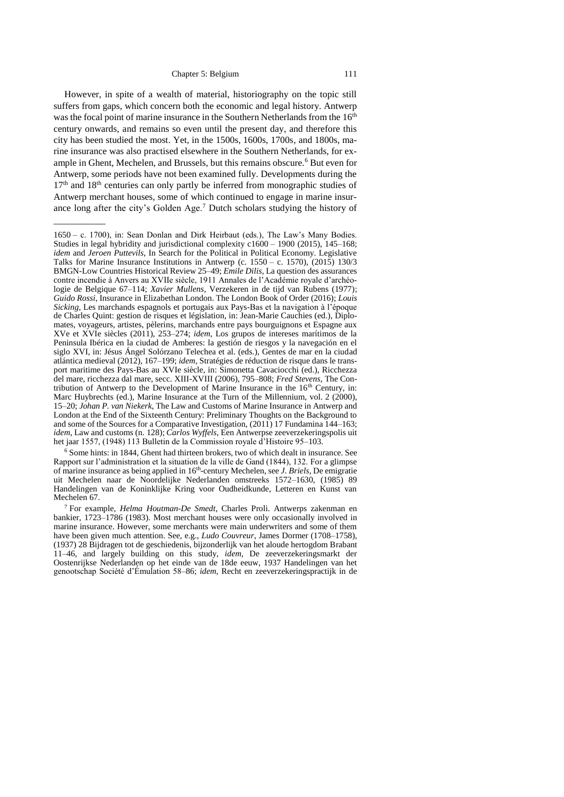However, in spite of a wealth of material, historiography on the topic still suffers from gaps, which concern both the economic and legal history. Antwerp was the focal point of marine insurance in the Southern Netherlands from the 16<sup>th</sup> century onwards, and remains so even until the present day, and therefore this city has been studied the most. Yet, in the 1500s, 1600s, 1700s, and 1800s, marine insurance was also practised elsewhere in the Southern Netherlands, for example in Ghent, Mechelen, and Brussels, but this remains obscure.<sup>6</sup> But even for Antwerp, some periods have not been examined fully. Developments during the  $17<sup>th</sup>$  and  $18<sup>th</sup>$  centuries can only partly be inferred from monographic studies of Antwerp merchant houses, some of which continued to engage in marine insurance long after the city's Golden Age.<sup>7</sup> Dutch scholars studying the history of

<span id="page-22-0"></span> $\overline{\phantom{a}}$ 

<sup>6</sup> Some hints: in 1844, Ghent had thirteen brokers, two of which dealt in insurance. See Rapport sur l'administration et la situation de la ville de Gand (1844), 132. For a glimpse of marine insurance as being applied in 16<sup>th</sup>-century Mechelen, see *J. Briels*, De emigratie uit Mechelen naar de Noordelijke Nederlanden omstreeks 1572–1630, (1985) 89 Handelingen van de Koninklijke Kring voor Oudheidkunde, Letteren en Kunst van Mechelen 67.

<sup>1650</sup> – c. 1700), in: Sean Donlan and Dirk Heirbaut (eds.), The Law's Many Bodies. Studies in legal hybridity and jurisdictional complexity c1600 – 1900 (2015), 145–168; *idem* and *Jeroen Puttevils*, In Search for the Political in Political Economy. Legislative Talks for Marine Insurance Institutions in Antwerp (c. 1550 – c. 1570), (2015) 130/3 BMGN-Low Countries Historical Review 25–49; *Emile Dilis*, La question des assurances contre incendie à Anvers au XVIIe siècle, 1911 Annales de l'Académie royale d'archéologie de Belgique 67–114; *Xavier Mullens*, Verzekeren in de tijd van Rubens (1977); *Guido Rossi*, Insurance in Elizabethan London. The London Book of Order (2016); *Louis Sicking*, Les marchands espagnols et portugais aux Pays-Bas et la navigation à l'époque de Charles Quint: gestion de risques et législation, in: Jean-Marie Cauchies (ed.), Diplomates, voyageurs, artistes, pèlerins, marchands entre pays bourguignons et Espagne aux XVe et XVIe siècles (2011), 253–274; *idem*, Los grupos de intereses marítimos de la Peninsula Ibérica en la ciudad de Amberes: la gestión de riesgos y la navegación en el siglo XVI, in: Jésus Ángel Solórzano Telechea et al. (eds.), Gentes de mar en la ciudad atlántica medieval (2012), 167–199; *idem*, Stratégies de réduction de risque dans le transport maritime des Pays-Bas au XVIe siècle, in: Simonetta Cavaciocchi (ed.), Ricchezza del mare, ricchezza dal mare, secc. XIII-XVIII (2006), 795–808; *Fred Stevens*, The Contribution of Antwerp to the Development of Marine Insurance in the  $16<sup>th</sup>$  Century, in: Marc Huybrechts (ed.), Marine Insurance at the Turn of the Millennium, vol. 2 (2000), 15–20; *Johan P. van Niekerk*, The Law and Customs of Marine Insurance in Antwerp and London at the End of the Sixteenth Century: Preliminary Thoughts on the Background to and some of the Sources for a Comparative Investigation, (2011) 17 Fundamina 144–163; *idem*, Law and customs (n. [128\)](#page-13-3); *Carlos Wyffels*, Een Antwerpse zeeverzekeringspolis uit het jaar 1557, (1948) 113 Bulletin de la Commission royale d'Histoire 95–103.

<sup>7</sup> For example, *Helma Houtman-De Smedt*, Charles Proli. Antwerps zakenman en bankier, 1723–1786 (1983). Most merchant houses were only occasionally involved in marine insurance. However, some merchants were main underwriters and some of them have been given much attention. See, e.g., *Ludo Couvreur*, James Dormer (1708–1758), (1937) 28 Bijdragen tot de geschiedenis, bijzonderlijk van het aloude hertogdom Brabant 11–46, and largely building on this study, *idem*, De zeeverzekeringsmarkt der Oostenrijkse Nederlanden op het einde van de 18de eeuw, 1937 Handelingen van het genootschap Société d'Émulation 58–86; *idem*, Recht en zeeverzekeringspractijk in de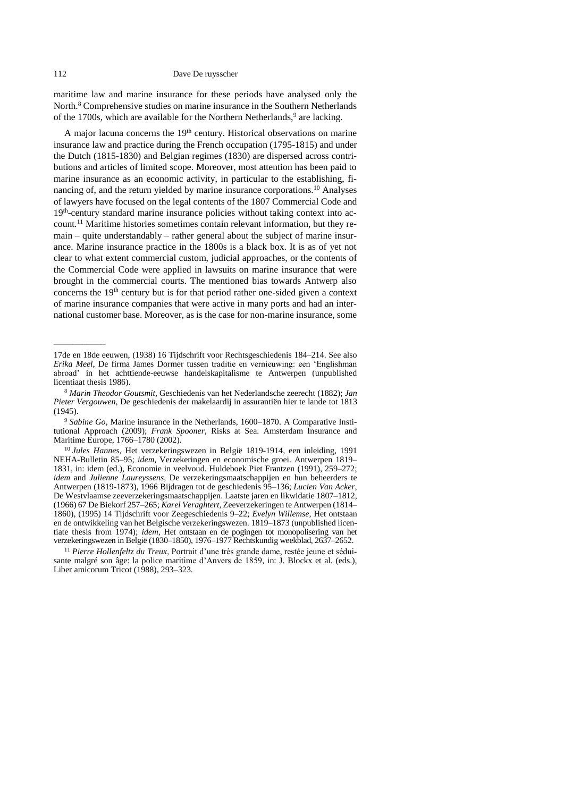<span id="page-23-0"></span>maritime law and marine insurance for these periods have analysed only the North.<sup>8</sup> Comprehensive studies on marine insurance in the Southern Netherlands of the 1700s, which are available for the Northern Netherlands,<sup>9</sup> are lacking.

<span id="page-23-2"></span><span id="page-23-1"></span>A major lacuna concerns the 19<sup>th</sup> century. Historical observations on marine insurance law and practice during the French occupation (1795-1815) and under the Dutch (1815-1830) and Belgian regimes (1830) are dispersed across contributions and articles of limited scope. Moreover, most attention has been paid to marine insurance as an economic activity, in particular to the establishing, financing of, and the return yielded by marine insurance corporations.<sup>10</sup> Analyses of lawyers have focused on the legal contents of the 1807 Commercial Code and 19<sup>th</sup>-century standard marine insurance policies without taking context into account.<sup>11</sup> Maritime histories sometimes contain relevant information, but they remain – quite understandably – rather general about the subject of marine insurance. Marine insurance practice in the 1800s is a black box. It is as of yet not clear to what extent commercial custom, judicial approaches, or the contents of the Commercial Code were applied in lawsuits on marine insurance that were brought in the commercial courts. The mentioned bias towards Antwerp also concerns the  $19<sup>th</sup>$  century but is for that period rather one-sided given a context of marine insurance companies that were active in many ports and had an international customer base. Moreover, as is the case for non-marine insurance, some

<sup>17</sup>de en 18de eeuwen, (1938) 16 Tijdschrift voor Rechtsgeschiedenis 184–214. See also *Erika Meel*, De firma James Dormer tussen traditie en vernieuwing: een 'Englishman abroad' in het achttiende-eeuwse handelskapitalisme te Antwerpen (unpublished licentiaat thesis 1986).

<sup>8</sup> *Marin Theodor Goutsmit*, Geschiedenis van het Nederlandsche zeerecht (1882); *Jan Pieter Vergouwen*, De geschiedenis der makelaardij in assurantiën hier te lande tot 1813 (1945).

<sup>9</sup> *Sabine Go*, Marine insurance in the Netherlands, 1600–1870. A Comparative Institutional Approach (2009); *Frank Spooner*, Risks at Sea. Amsterdam Insurance and Maritime Europe, 1766–1780 (2002).

<sup>10</sup> *Jules Hannes*, Het verzekeringswezen in België 1819-1914, een inleiding, 1991 NEHA-Bulletin 85–95; *idem*, Verzekeringen en economische groei. Antwerpen 1819– 1831, in: idem (ed.), Economie in veelvoud. Huldeboek Piet Frantzen (1991), 259–272; *idem* and *Julienne Laureyssens*, De verzekeringsmaatschappijen en hun beheerders te Antwerpen (1819-1873), 1966 Bijdragen tot de geschiedenis 95–136; *Lucien Van Acker*, De Westvlaamse zeeverzekeringsmaatschappijen. Laatste jaren en likwidatie 1807–1812, (1966) 67 De Biekorf 257–265; *Karel Veraghtert*, Zeeverzekeringen te Antwerpen (1814– 1860), (1995) 14 Tijdschrift voor Zeegeschiedenis 9–22; *Evelyn Willemse*, Het ontstaan en de ontwikkeling van het Belgische verzekeringswezen. 1819–1873 (unpublished licentiate thesis from 1974); *idem*, Het ontstaan en de pogingen tot monopolisering van het verzekeringswezen in België (1830–1850), 1976–1977 Rechtskundig weekblad, 2637–2652.

<sup>11</sup> *Pierre Hollenfeltz du Treux*, Portrait d'une très grande dame, restée jeune et séduisante malgré son âge: la police maritime d'Anvers de 1859, in: J. Blockx et al. (eds.), Liber amicorum Tricot (1988), 293–323.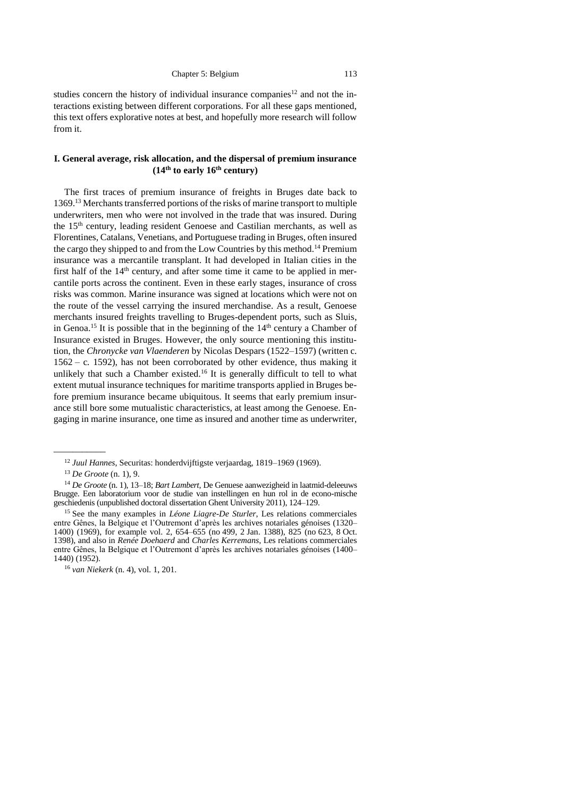<span id="page-24-2"></span><span id="page-24-1"></span>

studies concern the history of individual insurance companies<sup>12</sup> and not the interactions existing between different corporations. For all these gaps mentioned, this text offers explorative notes at best, and hopefully more research will follow from it.

# <span id="page-24-0"></span>**I. General average, risk allocation, and the dispersal of premium insurance (14th to early 16th century)**

The first traces of premium insurance of freights in Bruges date back to 1369.<sup>13</sup> Merchants transferred portions of the risks of marine transport to multiple underwriters, men who were not involved in the trade that was insured. During the 15th century, leading resident Genoese and Castilian merchants, as well as Florentines, Catalans, Venetians, and Portuguese trading in Bruges, often insured the cargo they shipped to and from the Low Countries by this method.<sup>14</sup> Premium insurance was a mercantile transplant. It had developed in Italian cities in the first half of the  $14<sup>th</sup>$  century, and after some time it came to be applied in mercantile ports across the continent. Even in these early stages, insurance of cross risks was common. Marine insurance was signed at locations which were not on the route of the vessel carrying the insured merchandise. As a result, Genoese merchants insured freights travelling to Bruges-dependent ports, such as Sluis, in Genoa.<sup>15</sup> It is possible that in the beginning of the  $14<sup>th</sup>$  century a Chamber of Insurance existed in Bruges. However, the only source mentioning this institution, the *Chronycke van Vlaenderen* by Nicolas Despars (1522–1597) (written c*.* 1562 – c*.* 1592), has not been corroborated by other evidence, thus making it unlikely that such a Chamber existed.<sup>16</sup> It is generally difficult to tell to what extent mutual insurance techniques for maritime transports applied in Bruges before premium insurance became ubiquitous. It seems that early premium insurance still bore some mutualistic characteristics, at least among the Genoese. Engaging in marine insurance, one time as insured and another time as underwriter,

\_\_\_\_\_\_\_\_\_\_\_

<sup>12</sup> *Juul Hannes*, Securitas: honderdvijftigste verjaardag, 1819–1969 (1969).

<sup>13</sup> *De Groote* (n. [1\)](#page-21-1), 9.

<sup>14</sup> *De Groote* (n. [1\)](#page-21-1), 13–18; *Bart Lambert*, De Genuese aanwezigheid in laatmid-deleeuws Brugge. Een laboratorium voor de studie van instellingen en hun rol in de econo-mische geschiedenis (unpublished doctoral dissertation Ghent University 2011), 124–129.

<sup>15</sup> See the many examples in *Léone Liagre-De Sturler*, Les relations commerciales entre Gênes, la Belgique et l'Outremont d'après les archives notariales génoises (1320– 1400) (1969), for example vol. 2, 654–655 (no 499, 2 Jan. 1388), 825 (no 623, 8 Oct. 1398), and also in *Renée Doehaerd* and *Charles Kerremans*, Les relations commerciales entre Gênes, la Belgique et l'Outremont d'après les archives notariales génoises (1400– 1440) (1952).

<sup>16</sup> *van Niekerk* (n. [4\)](#page-21-2), vol. 1, 201.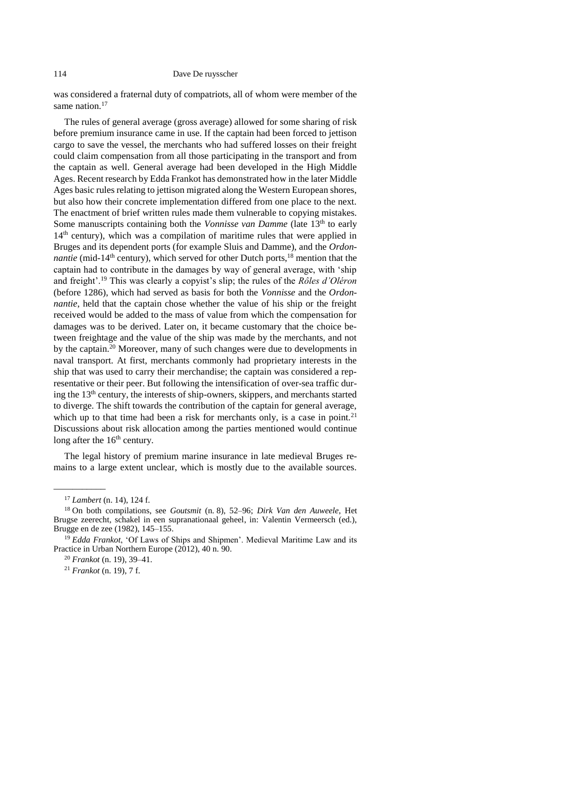was considered a fraternal duty of compatriots, all of whom were member of the same nation. 17

<span id="page-25-0"></span>The rules of general average (gross average) allowed for some sharing of risk before premium insurance came in use. If the captain had been forced to jettison cargo to save the vessel, the merchants who had suffered losses on their freight could claim compensation from all those participating in the transport and from the captain as well. General average had been developed in the High Middle Ages. Recent research by Edda Frankot has demonstrated how in the later Middle Ages basic rules relating to jettison migrated along the Western European shores, but also how their concrete implementation differed from one place to the next. The enactment of brief written rules made them vulnerable to copying mistakes. Some manuscripts containing both the *Vonnisse van Damme* (late 13<sup>th</sup> to early  $14<sup>th</sup>$  century), which was a compilation of maritime rules that were applied in Bruges and its dependent ports (for example Sluis and Damme), and the *Ordonnantie* (mid-14<sup>th</sup> century), which served for other Dutch ports,  $^{18}$  mention that the captain had to contribute in the damages by way of general average, with 'ship and freight'.<sup>19</sup> This was clearly a copyist's slip; the rules of the *Rôles d'Oléron* (before 1286), which had served as basis for both the *Vonnisse* and the *Ordonnantie*, held that the captain chose whether the value of his ship or the freight received would be added to the mass of value from which the compensation for damages was to be derived. Later on, it became customary that the choice between freightage and the value of the ship was made by the merchants, and not by the captain.<sup>20</sup> Moreover, many of such changes were due to developments in naval transport. At first, merchants commonly had proprietary interests in the ship that was used to carry their merchandise; the captain was considered a representative or their peer. But following the intensification of over-sea traffic during the 13<sup>th</sup> century, the interests of ship-owners, skippers, and merchants started to diverge. The shift towards the contribution of the captain for general average, which up to that time had been a risk for merchants only, is a case in point.<sup>21</sup> Discussions about risk allocation among the parties mentioned would continue long after the 16<sup>th</sup> century.

The legal history of premium marine insurance in late medieval Bruges remains to a large extent unclear, which is mostly due to the available sources.

\_\_\_\_\_\_\_\_\_\_\_

<sup>17</sup> *Lambert* (n. [14\)](#page-24-1), 124 f.

<sup>18</sup> On both compilations, see *Goutsmit* (n. [8\)](#page-23-0), 52–96; *Dirk Van den Auweele*, Het Brugse zeerecht, schakel in een supranationaal geheel, in: Valentin Vermeersch (ed.), Brugge en de zee (1982), 145–155.

<sup>19</sup> *Edda Frankot*, 'Of Laws of Ships and Shipmen'. Medieval Maritime Law and its Practice in Urban Northern Europe (2012), 40 n. 90.

<sup>20</sup> *Frankot* (n. [19\)](#page-25-0), 39–41.

<sup>21</sup> *Frankot* (n. [19\)](#page-25-0), 7 f.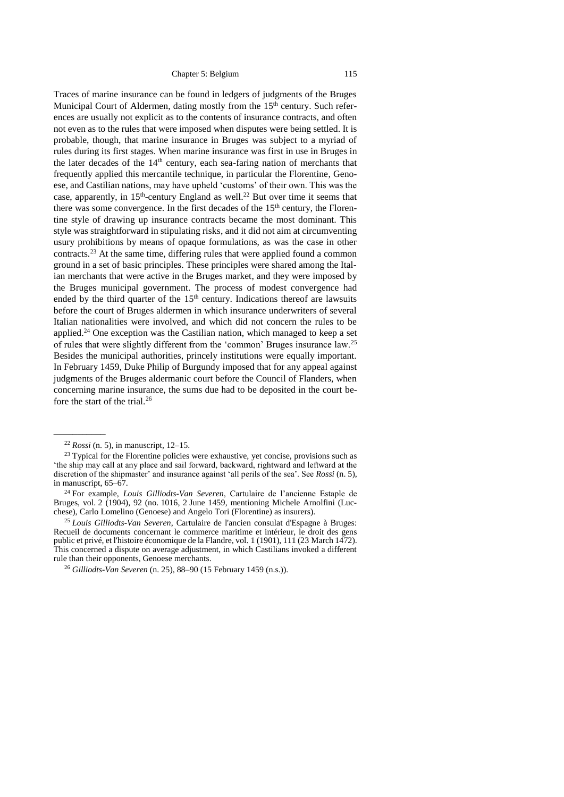Traces of marine insurance can be found in ledgers of judgments of the Bruges Municipal Court of Aldermen, dating mostly from the 15<sup>th</sup> century. Such references are usually not explicit as to the contents of insurance contracts, and often not even as to the rules that were imposed when disputes were being settled. It is probable, though, that marine insurance in Bruges was subject to a myriad of rules during its first stages. When marine insurance was first in use in Bruges in the later decades of the 14<sup>th</sup> century, each sea-faring nation of merchants that frequently applied this mercantile technique, in particular the Florentine, Genoese, and Castilian nations, may have upheld 'customs' of their own. This was the case, apparently, in  $15<sup>th</sup>$ -century England as well.<sup>22</sup> But over time it seems that there was some convergence. In the first decades of the 15<sup>th</sup> century, the Florentine style of drawing up insurance contracts became the most dominant. This style was straightforward in stipulating risks, and it did not aim at circumventing usury prohibitions by means of opaque formulations, as was the case in other contracts.<sup>23</sup> At the same time, differing rules that were applied found a common ground in a set of basic principles. These principles were shared among the Italian merchants that were active in the Bruges market, and they were imposed by the Bruges municipal government. The process of modest convergence had ended by the third quarter of the  $15<sup>th</sup>$  century. Indications thereof are lawsuits before the court of Bruges aldermen in which insurance underwriters of several Italian nationalities were involved, and which did not concern the rules to be applied.<sup>24</sup> One exception was the Castilian nation, which managed to keep a set of rules that were slightly different from the 'common' Bruges insurance law.<sup>25</sup> Besides the municipal authorities, princely institutions were equally important. In February 1459, Duke Philip of Burgundy imposed that for any appeal against judgments of the Bruges aldermanic court before the Council of Flanders, when concerning marine insurance, the sums due had to be deposited in the court before the start of the trial. $^{26}$ 

<span id="page-26-0"></span><sup>22</sup> *Rossi* (n. [5\)](#page-21-3), in manuscript, 12–15.

<sup>&</sup>lt;sup>23</sup> Typical for the Florentine policies were exhaustive, yet concise, provisions such as 'the ship may call at any place and sail forward, backward, rightward and leftward at the discretion of the shipmaster' and insurance against 'all perils of the sea'. See *Rossi* (n. [5\)](#page-21-3), in manuscript, 65–67.

<sup>24</sup> For example, *Louis Gilliodts-Van Severen*, Cartulaire de l'ancienne Estaple de Bruges, vol. 2 (1904), 92 (no. 1016, 2 June 1459, mentioning Michele Arnolfini (Lucchese), Carlo Lomelino (Genoese) and Angelo Tori (Florentine) as insurers).

<sup>25</sup> *Louis Gilliodts-Van Severen*, Cartulaire de l'ancien consulat d'Espagne à Bruges: Recueil de documents concernant le commerce maritime et intérieur, le droit des gens public et privé, et l'histoire économique de la Flandre, vol. 1 (1901), 111 (23 March 1472). This concerned a dispute on average adjustment, in which Castilians invoked a different rule than their opponents, Genoese merchants.

<sup>26</sup> *Gilliodts-Van Severen* (n. [25\)](#page-26-0), 88–90 (15 February 1459 (n.s.)).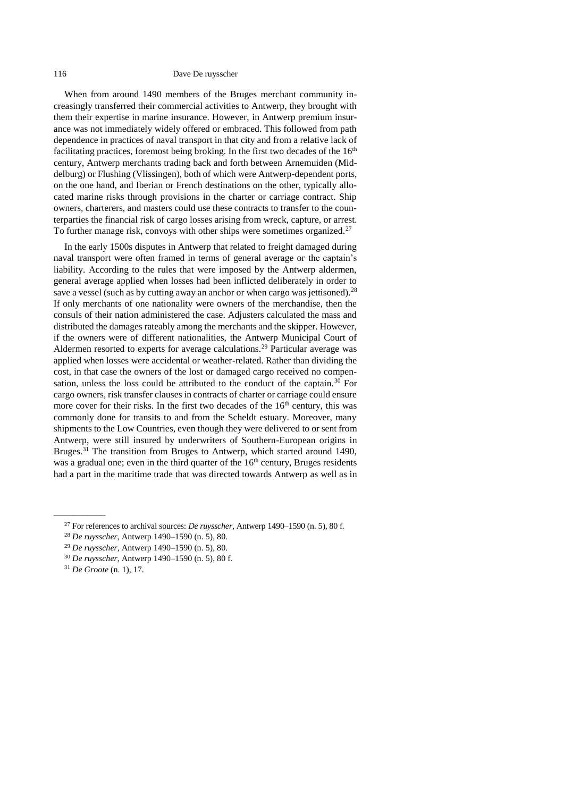#### 116 Dave De ruysscher

When from around 1490 members of the Bruges merchant community increasingly transferred their commercial activities to Antwerp, they brought with them their expertise in marine insurance. However, in Antwerp premium insurance was not immediately widely offered or embraced. This followed from path dependence in practices of naval transport in that city and from a relative lack of facilitating practices, foremost being broking. In the first two decades of the  $16<sup>th</sup>$ century, Antwerp merchants trading back and forth between Arnemuiden (Middelburg) or Flushing (Vlissingen), both of which were Antwerp-dependent ports, on the one hand, and Iberian or French destinations on the other, typically allocated marine risks through provisions in the charter or carriage contract. Ship owners, charterers, and masters could use these contracts to transfer to the counterparties the financial risk of cargo losses arising from wreck, capture, or arrest. To further manage risk, convoys with other ships were sometimes organized.<sup>27</sup>

In the early 1500s disputes in Antwerp that related to freight damaged during naval transport were often framed in terms of general average or the captain's liability. According to the rules that were imposed by the Antwerp aldermen, general average applied when losses had been inflicted deliberately in order to save a vessel (such as by cutting away an anchor or when cargo was jettisoned).<sup>28</sup> If only merchants of one nationality were owners of the merchandise, then the consuls of their nation administered the case. Adjusters calculated the mass and distributed the damages rateably among the merchants and the skipper. However, if the owners were of different nationalities, the Antwerp Municipal Court of Aldermen resorted to experts for average calculations.<sup>29</sup> Particular average was applied when losses were accidental or weather-related. Rather than dividing the cost, in that case the owners of the lost or damaged cargo received no compensation, unless the loss could be attributed to the conduct of the captain.<sup>30</sup> For cargo owners, risk transfer clauses in contracts of charter or carriage could ensure more cover for their risks. In the first two decades of the  $16<sup>th</sup>$  century, this was commonly done for transits to and from the Scheldt estuary. Moreover, many shipments to the Low Countries, even though they were delivered to or sent from Antwerp, were still insured by underwriters of Southern-European origins in Bruges.<sup>31</sup> The transition from Bruges to Antwerp, which started around 1490, was a gradual one; even in the third quarter of the 16<sup>th</sup> century, Bruges residents had a part in the maritime trade that was directed towards Antwerp as well as in

<sup>27</sup> For references to archival sources: *De ruysscher*, Antwerp 1490–1590 (n. [5\)](#page-21-3), 80 f.

<sup>28</sup> *De ruysscher*, Antwerp 1490–1590 (n. [5\)](#page-21-3), 80.

<sup>29</sup> *De ruysscher*, Antwerp 1490–1590 (n. [5\)](#page-21-3), 80.

<sup>30</sup> *De ruysscher*, Antwerp 1490–1590 (n. [5\)](#page-21-3), 80 f.

<sup>31</sup> *De Groote* (n. [1\)](#page-21-1), 17.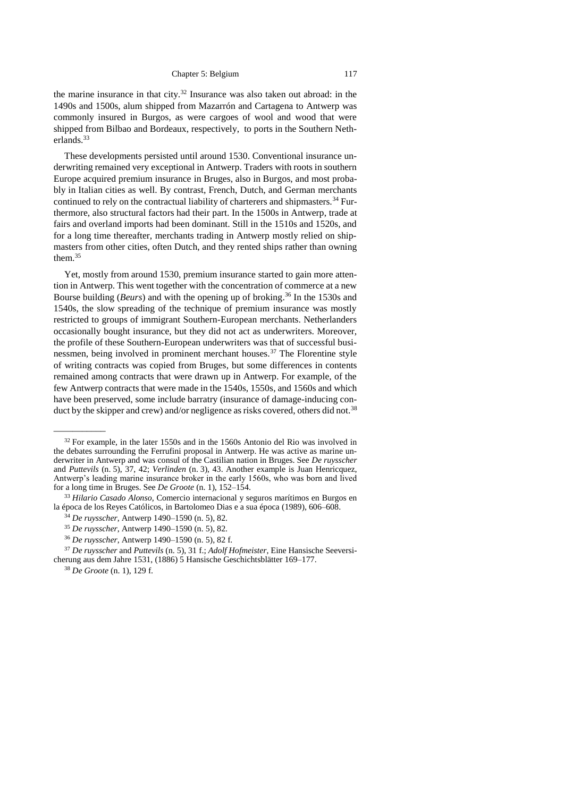the marine insurance in that city.<sup>32</sup> Insurance was also taken out abroad: in the 1490s and 1500s, alum shipped from Mazarrón and Cartagena to Antwerp was commonly insured in Burgos, as were cargoes of wool and wood that were shipped from Bilbao and Bordeaux, respectively, to ports in the Southern Netherlands.<sup>33</sup>

These developments persisted until around 1530. Conventional insurance underwriting remained very exceptional in Antwerp. Traders with roots in southern Europe acquired premium insurance in Bruges, also in Burgos, and most probably in Italian cities as well. By contrast, French, Dutch, and German merchants continued to rely on the contractual liability of charterers and shipmasters.<sup>34</sup> Furthermore, also structural factors had their part. In the 1500s in Antwerp, trade at fairs and overland imports had been dominant. Still in the 1510s and 1520s, and for a long time thereafter, merchants trading in Antwerp mostly relied on shipmasters from other cities, often Dutch, and they rented ships rather than owning them.<sup>35</sup>

Yet, mostly from around 1530, premium insurance started to gain more attention in Antwerp. This went together with the concentration of commerce at a new Bourse building (*Beurs*) and with the opening up of broking. <sup>36</sup> In the 1530s and 1540s, the slow spreading of the technique of premium insurance was mostly restricted to groups of immigrant Southern-European merchants. Netherlanders occasionally bought insurance, but they did not act as underwriters. Moreover, the profile of these Southern-European underwriters was that of successful businessmen, being involved in prominent merchant houses.<sup>37</sup> The Florentine style of writing contracts was copied from Bruges, but some differences in contents remained among contracts that were drawn up in Antwerp. For example, of the few Antwerp contracts that were made in the 1540s, 1550s, and 1560s and which have been preserved, some include barratry (insurance of damage-inducing conduct by the skipper and crew) and/or negligence as risks covered, others did not.<sup>38</sup>

 $32$  For example, in the later 1550s and in the 1560s Antonio del Rio was involved in the debates surrounding the Ferrufini proposal in Antwerp. He was active as marine underwriter in Antwerp and was consul of the Castilian nation in Bruges. See *De ruysscher*  and *Puttevils* (n. [5\)](#page-21-3), 37, 42; *Verlinden* (n. [3\)](#page-21-4), 43. Another example is Juan Henricquez, Antwerp's leading marine insurance broker in the early 1560s, who was born and lived for a long time in Bruges. See *De Groote* (n. [1\)](#page-21-1), 152–154.

<sup>33</sup> *Hilario Casado Alonso,* Comercio internacional y seguros marítimos en Burgos en la época de los Reyes Católicos, in Bartolomeo Dias e a sua época (1989), 606–608.

<sup>34</sup> *De ruysscher*, Antwerp 1490–1590 (n. [5\)](#page-21-3), 82.

<sup>35</sup> *De ruysscher*, Antwerp 1490–1590 (n. [5\)](#page-21-3), 82.

<sup>36</sup> *De ruysscher*, Antwerp 1490–1590 (n. [5\)](#page-21-3), 82 f.

<sup>37</sup> *De ruysscher* and *Puttevils* (n. [5\)](#page-21-3), 31 f.; *Adolf Hofmeister*, Eine Hansische Seeversicherung aus dem Jahre 1531, (1886) 5 Hansische Geschichtsblätter 169–177.

<sup>38</sup> *De Groote* (n. [1\)](#page-21-1), 129 f.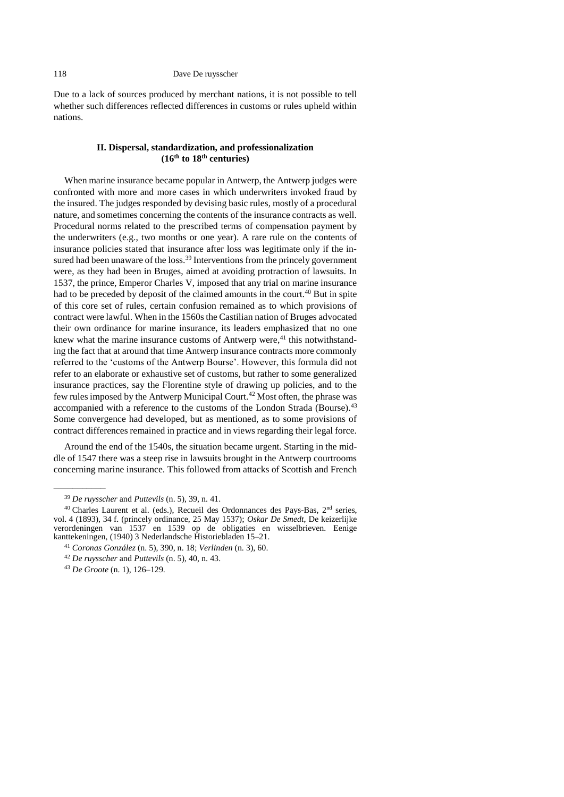<span id="page-29-0"></span>Due to a lack of sources produced by merchant nations, it is not possible to tell whether such differences reflected differences in customs or rules upheld within nations.

# **II. Dispersal, standardization, and professionalization (16th to 18th centuries)**

When marine insurance became popular in Antwerp, the Antwerp judges were confronted with more and more cases in which underwriters invoked fraud by the insured. The judges responded by devising basic rules, mostly of a procedural nature, and sometimes concerning the contents of the insurance contracts as well. Procedural norms related to the prescribed terms of compensation payment by the underwriters (e.g., two months or one year). A rare rule on the contents of insurance policies stated that insurance after loss was legitimate only if the insured had been unaware of the loss.<sup>39</sup> Interventions from the princely government were, as they had been in Bruges, aimed at avoiding protraction of lawsuits. In 1537, the prince, Emperor Charles V, imposed that any trial on marine insurance had to be preceded by deposit of the claimed amounts in the court.<sup>40</sup> But in spite of this core set of rules, certain confusion remained as to which provisions of contract were lawful. When in the 1560s the Castilian nation of Bruges advocated their own ordinance for marine insurance, its leaders emphasized that no one knew what the marine insurance customs of Antwerp were,<sup>41</sup> this notwithstanding the fact that at around that time Antwerp insurance contracts more commonly referred to the 'customs of the Antwerp Bourse'. However, this formula did not refer to an elaborate or exhaustive set of customs, but rather to some generalized insurance practices, say the Florentine style of drawing up policies, and to the few rules imposed by the Antwerp Municipal Court.<sup>42</sup> Most often, the phrase was accompanied with a reference to the customs of the London Strada (Bourse).<sup>43</sup> Some convergence had developed, but as mentioned, as to some provisions of contract differences remained in practice and in views regarding their legal force.

Around the end of the 1540s, the situation became urgent. Starting in the middle of 1547 there was a steep rise in lawsuits brought in the Antwerp courtrooms concerning marine insurance. This followed from attacks of Scottish and French

<sup>39</sup> *De ruysscher* and *Puttevils* (n. [5\)](#page-21-3), 39, n. 41.

<sup>40</sup> Charles Laurent et al. (eds.), Recueil des Ordonnances des Pays-Bas, 2nd series, vol. 4 (1893), 34 f. (princely ordinance, 25 May 1537); *Oskar De Smedt*, De keizerlijke verordeningen van 1537 en 1539 op de obligaties en wisselbrieven. Eenige kanttekeningen, (1940) 3 Nederlandsche Historiebladen 15–21.

<sup>41</sup> *Coronas González* (n. [5\)](#page-21-3), 390, n. 18; *Verlinden* (n. [3\)](#page-21-4), 60.

<sup>42</sup> *De ruysscher* and *Puttevils* (n. [5\)](#page-21-3), 40, n. 43.

<sup>43</sup> *De Groote* (n. [1\)](#page-21-1), 126–129.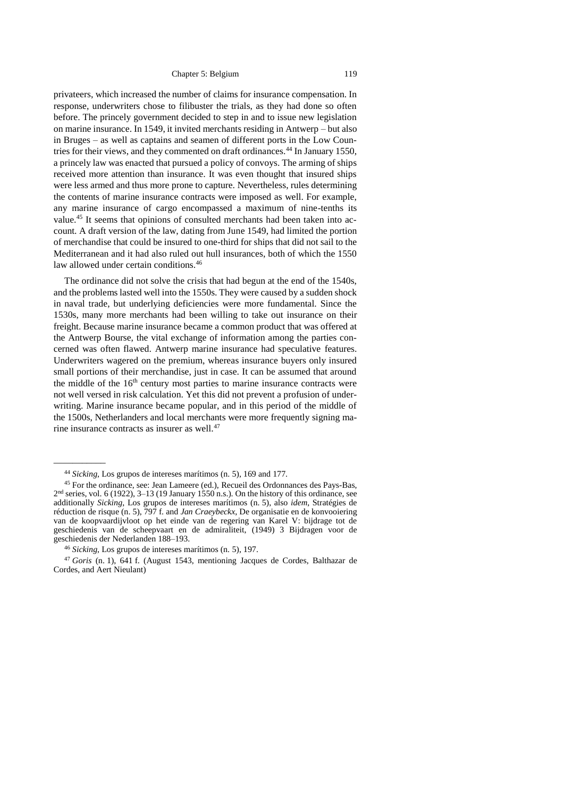privateers, which increased the number of claims for insurance compensation. In response, underwriters chose to filibuster the trials, as they had done so often before. The princely government decided to step in and to issue new legislation on marine insurance. In 1549, it invited merchants residing in Antwerp – but also in Bruges – as well as captains and seamen of different ports in the Low Countries for their views, and they commented on draft ordinances.<sup>44</sup> In January 1550, a princely law was enacted that pursued a policy of convoys. The arming of ships received more attention than insurance. It was even thought that insured ships were less armed and thus more prone to capture. Nevertheless, rules determining the contents of marine insurance contracts were imposed as well. For example, any marine insurance of cargo encompassed a maximum of nine-tenths its value.<sup>45</sup> It seems that opinions of consulted merchants had been taken into account. A draft version of the law, dating from June 1549, had limited the portion of merchandise that could be insured to one-third for ships that did not sail to the Mediterranean and it had also ruled out hull insurances, both of which the 1550 law allowed under certain conditions.<sup>46</sup>

<span id="page-30-0"></span>The ordinance did not solve the crisis that had begun at the end of the 1540s, and the problems lasted well into the 1550s. They were caused by a sudden shock in naval trade, but underlying deficiencies were more fundamental. Since the 1530s, many more merchants had been willing to take out insurance on their freight. Because marine insurance became a common product that was offered at the Antwerp Bourse, the vital exchange of information among the parties concerned was often flawed. Antwerp marine insurance had speculative features. Underwriters wagered on the premium, whereas insurance buyers only insured small portions of their merchandise, just in case. It can be assumed that around the middle of the  $16<sup>th</sup>$  century most parties to marine insurance contracts were not well versed in risk calculation. Yet this did not prevent a profusion of underwriting. Marine insurance became popular, and in this period of the middle of the 1500s, Netherlanders and local merchants were more frequently signing marine insurance contracts as insurer as well.<sup>47</sup>

<sup>44</sup> *Sicking*, Los grupos de intereses marítimos (n. [5\)](#page-21-3), 169 and 177.

<sup>45</sup> For the ordinance, see: Jean Lameere (ed.), Recueil des Ordonnances des Pays-Bas, 2 nd series, vol. 6 (1922), 3–13 (19 January 1550 n.s.). On the history of this ordinance, see additionally *Sicking*, Los grupos de intereses marítimos (n. [5\)](#page-21-3), also *idem*, Stratégies de réduction de risque (n. [5\)](#page-21-3), 797 f. and *Jan Craeybeckx*, De organisatie en de konvooiering van de koopvaardijvloot op het einde van de regering van Karel V: bijdrage tot de geschiedenis van de scheepvaart en de admiraliteit, (1949) 3 Bijdragen voor de geschiedenis der Nederlanden 188–193.

<sup>46</sup> *Sicking*, Los grupos de intereses marítimos (n. [5\)](#page-21-3), 197.

<sup>47</sup> *Goris* (n. [1\)](#page-21-1), 641 f. (August 1543, mentioning Jacques de Cordes, Balthazar de Cordes, and Aert Nieulant)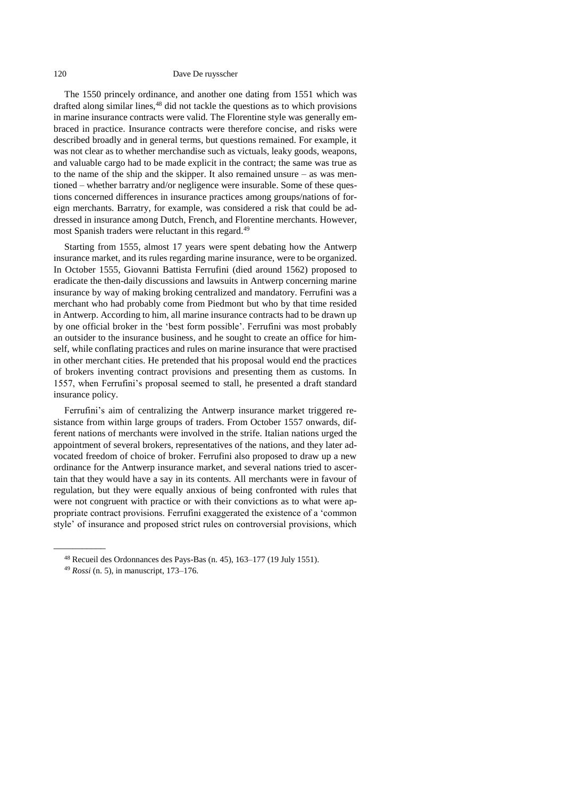#### 120 Dave De ruysscher

The 1550 princely ordinance, and another one dating from 1551 which was drafted along similar lines,<sup>48</sup> did not tackle the questions as to which provisions in marine insurance contracts were valid. The Florentine style was generally embraced in practice. Insurance contracts were therefore concise, and risks were described broadly and in general terms, but questions remained. For example, it was not clear as to whether merchandise such as victuals, leaky goods, weapons, and valuable cargo had to be made explicit in the contract; the same was true as to the name of the ship and the skipper. It also remained unsure – as was mentioned – whether barratry and/or negligence were insurable. Some of these questions concerned differences in insurance practices among groups/nations of foreign merchants. Barratry, for example, was considered a risk that could be addressed in insurance among Dutch, French, and Florentine merchants. However, most Spanish traders were reluctant in this regard.<sup>49</sup>

Starting from 1555, almost 17 years were spent debating how the Antwerp insurance market, and its rules regarding marine insurance, were to be organized. In October 1555, Giovanni Battista Ferrufini (died around 1562) proposed to eradicate the then-daily discussions and lawsuits in Antwerp concerning marine insurance by way of making broking centralized and mandatory. Ferrufini was a merchant who had probably come from Piedmont but who by that time resided in Antwerp. According to him, all marine insurance contracts had to be drawn up by one official broker in the 'best form possible'. Ferrufini was most probably an outsider to the insurance business, and he sought to create an office for himself, while conflating practices and rules on marine insurance that were practised in other merchant cities. He pretended that his proposal would end the practices of brokers inventing contract provisions and presenting them as customs. In 1557, when Ferrufini's proposal seemed to stall, he presented a draft standard insurance policy.

Ferrufini's aim of centralizing the Antwerp insurance market triggered resistance from within large groups of traders. From October 1557 onwards, different nations of merchants were involved in the strife. Italian nations urged the appointment of several brokers, representatives of the nations, and they later advocated freedom of choice of broker. Ferrufini also proposed to draw up a new ordinance for the Antwerp insurance market, and several nations tried to ascertain that they would have a say in its contents. All merchants were in favour of regulation, but they were equally anxious of being confronted with rules that were not congruent with practice or with their convictions as to what were appropriate contract provisions. Ferrufini exaggerated the existence of a 'common style' of insurance and proposed strict rules on controversial provisions, which

\_\_\_\_\_\_\_\_\_\_\_

<sup>48</sup> Recueil des Ordonnances des Pays-Bas (n. [45\)](#page-30-0), 163–177 (19 July 1551).

<sup>49</sup> *Rossi* (n. [5\)](#page-21-3), in manuscript, 173–176.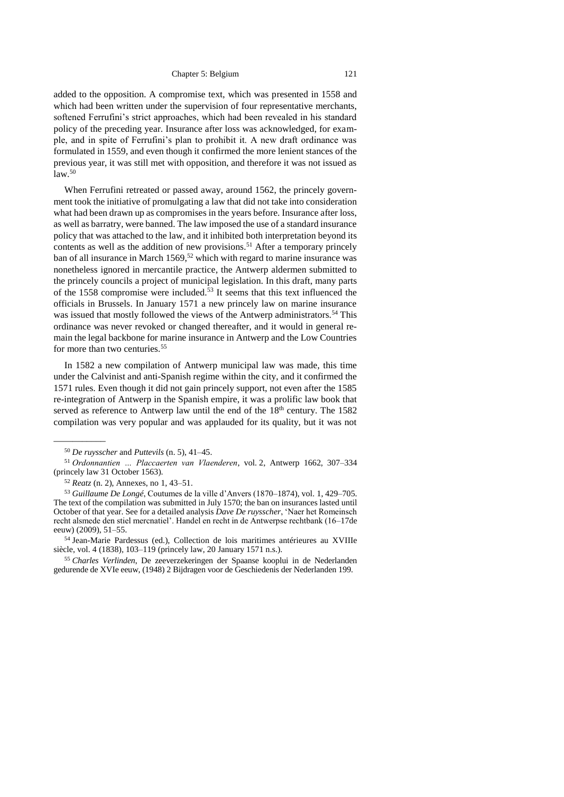added to the opposition. A compromise text, which was presented in 1558 and which had been written under the supervision of four representative merchants, softened Ferrufini's strict approaches, which had been revealed in his standard policy of the preceding year. Insurance after loss was acknowledged, for example, and in spite of Ferrufini's plan to prohibit it. A new draft ordinance was formulated in 1559, and even though it confirmed the more lenient stances of the previous year, it was still met with opposition, and therefore it was not issued as  $law.<sup>50</sup>$ 

When Ferrufini retreated or passed away, around 1562, the princely government took the initiative of promulgating a law that did not take into consideration what had been drawn up as compromises in the years before. Insurance after loss, as well as barratry, were banned. The law imposed the use of a standard insurance policy that was attached to the law, and it inhibited both interpretation beyond its contents as well as the addition of new provisions.<sup>51</sup> After a temporary princely ban of all insurance in March  $1569$ ,<sup>52</sup> which with regard to marine insurance was nonetheless ignored in mercantile practice, the Antwerp aldermen submitted to the princely councils a project of municipal legislation. In this draft, many parts of the 1558 compromise were included.<sup>53</sup> It seems that this text influenced the officials in Brussels. In January 1571 a new princely law on marine insurance was issued that mostly followed the views of the Antwerp administrators.<sup>54</sup> This ordinance was never revoked or changed thereafter, and it would in general remain the legal backbone for marine insurance in Antwerp and the Low Countries for more than two centuries.<sup>55</sup>

<span id="page-32-1"></span><span id="page-32-0"></span>In 1582 a new compilation of Antwerp municipal law was made, this time under the Calvinist and anti-Spanish regime within the city, and it confirmed the 1571 rules. Even though it did not gain princely support, not even after the 1585 re-integration of Antwerp in the Spanish empire, it was a prolific law book that served as reference to Antwerp law until the end of the 18<sup>th</sup> century. The 1582 compilation was very popular and was applauded for its quality, but it was not

<sup>50</sup> *De ruysscher* and *Puttevils* (n. [5\)](#page-21-3), 41–45.

<sup>51</sup> *Ordonnantien … Placcaerten van Vlaenderen*, vol. 2, Antwerp 1662, 307–334 (princely law 31 October 1563).

<sup>52</sup> *Reatz* (n. [2\)](#page-21-5), Annexes, no 1, 43–51.

<sup>53</sup> *Guillaume De Longé*, Coutumes de la ville d'Anvers (1870–1874), vol. 1, 429–705. The text of the compilation was submitted in July 1570; the ban on insurances lasted until October of that year. See for a detailed analysis *Dave De ruysscher*, 'Naer het Romeinsch recht alsmede den stiel mercnatiel'. Handel en recht in de Antwerpse rechtbank (16–17de eeuw) (2009), 51–55.

<sup>54</sup> Jean-Marie Pardessus (ed.), Collection de lois maritimes antérieures au XVIIIe siècle, vol. 4 (1838), 103–119 (princely law, 20 January 1571 n.s.).

<sup>55</sup> *Charles Verlinden*, De zeeverzekeringen der Spaanse kooplui in de Nederlanden gedurende de XVIe eeuw, (1948) 2 Bijdragen voor de Geschiedenis der Nederlanden 199.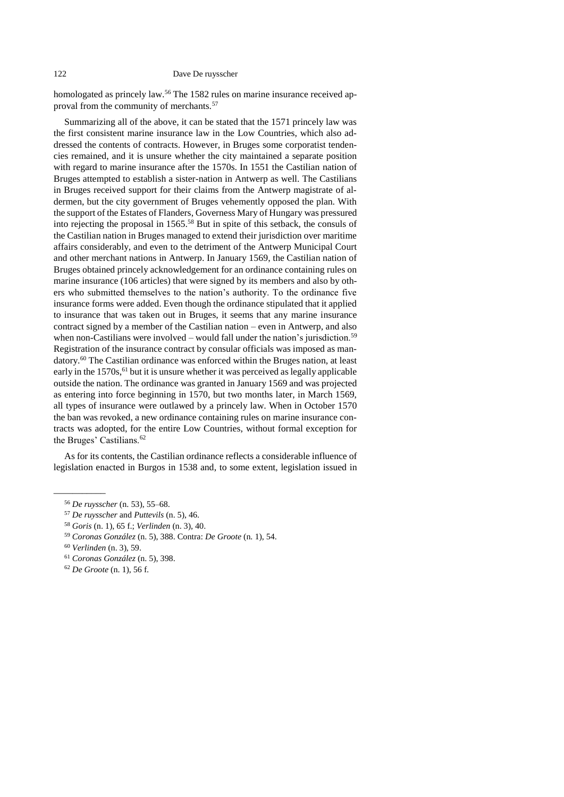homologated as princely law.<sup>56</sup> The 1582 rules on marine insurance received approval from the community of merchants.<sup>57</sup>

Summarizing all of the above, it can be stated that the 1571 princely law was the first consistent marine insurance law in the Low Countries, which also addressed the contents of contracts. However, in Bruges some corporatist tendencies remained, and it is unsure whether the city maintained a separate position with regard to marine insurance after the 1570s. In 1551 the Castilian nation of Bruges attempted to establish a sister-nation in Antwerp as well. The Castilians in Bruges received support for their claims from the Antwerp magistrate of aldermen, but the city government of Bruges vehemently opposed the plan. With the support of the Estates of Flanders, Governess Mary of Hungary was pressured into rejecting the proposal in 1565.<sup>58</sup> But in spite of this setback, the consuls of the Castilian nation in Bruges managed to extend their jurisdiction over maritime affairs considerably, and even to the detriment of the Antwerp Municipal Court and other merchant nations in Antwerp. In January 1569, the Castilian nation of Bruges obtained princely acknowledgement for an ordinance containing rules on marine insurance (106 articles) that were signed by its members and also by others who submitted themselves to the nation's authority. To the ordinance five insurance forms were added. Even though the ordinance stipulated that it applied to insurance that was taken out in Bruges, it seems that any marine insurance contract signed by a member of the Castilian nation – even in Antwerp, and also when non-Castilians were involved – would fall under the nation's jurisdiction.<sup>59</sup> Registration of the insurance contract by consular officials was imposed as mandatory.<sup>60</sup> The Castilian ordinance was enforced within the Bruges nation, at least early in the  $1570s<sup>61</sup>$  but it is unsure whether it was perceived as legally applicable outside the nation. The ordinance was granted in January 1569 and was projected as entering into force beginning in 1570, but two months later, in March 1569, all types of insurance were outlawed by a princely law. When in October 1570 the ban was revoked, a new ordinance containing rules on marine insurance contracts was adopted, for the entire Low Countries, without formal exception for the Bruges' Castilians.<sup>62</sup>

As for its contents, the Castilian ordinance reflects a considerable influence of legislation enacted in Burgos in 1538 and, to some extent, legislation issued in

\_\_\_\_\_\_\_\_\_\_\_

<sup>56</sup> *De ruysscher* (n. [53\)](#page-32-0), 55–68.

<sup>57</sup> *De ruysscher* and *Puttevils* (n. [5\)](#page-21-3), 46.

<sup>58</sup> *Goris* (n. [1\)](#page-21-1), 65 f.; *Verlinden* (n. [3\)](#page-21-4), 40.

<sup>59</sup> *Coronas González* (n. [5\)](#page-21-3), 388. Contra: *De Groote* (n. [1\)](#page-21-1), 54.

<sup>60</sup> *Verlinden* (n. [3\)](#page-21-4), 59.

<sup>61</sup> *Coronas González* (n. [5\)](#page-21-3), 398.

<sup>62</sup> *De Groote* (n. [1\)](#page-21-1), 56 f.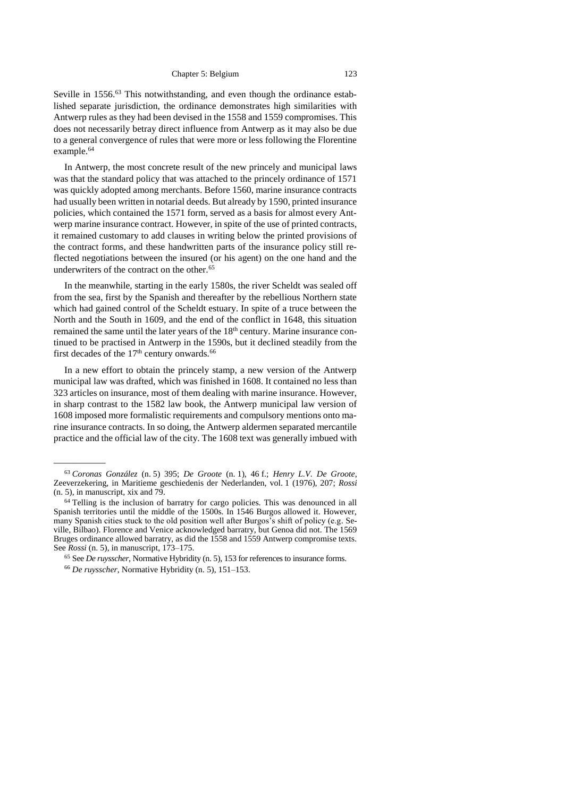Seville in 1556.<sup>63</sup> This notwithstanding, and even though the ordinance established separate jurisdiction, the ordinance demonstrates high similarities with Antwerp rules as they had been devised in the 1558 and 1559 compromises. This does not necessarily betray direct influence from Antwerp as it may also be due to a general convergence of rules that were more or less following the Florentine example.<sup>64</sup>

In Antwerp, the most concrete result of the new princely and municipal laws was that the standard policy that was attached to the princely ordinance of 1571 was quickly adopted among merchants. Before 1560, marine insurance contracts had usually been written in notarial deeds. But already by 1590, printed insurance policies, which contained the 1571 form, served as a basis for almost every Antwerp marine insurance contract. However, in spite of the use of printed contracts, it remained customary to add clauses in writing below the printed provisions of the contract forms, and these handwritten parts of the insurance policy still reflected negotiations between the insured (or his agent) on the one hand and the underwriters of the contract on the other.<sup>65</sup>

In the meanwhile, starting in the early 1580s, the river Scheldt was sealed off from the sea, first by the Spanish and thereafter by the rebellious Northern state which had gained control of the Scheldt estuary. In spite of a truce between the North and the South in 1609, and the end of the conflict in 1648, this situation remained the same until the later years of the 18<sup>th</sup> century. Marine insurance continued to be practised in Antwerp in the 1590s, but it declined steadily from the first decades of the  $17<sup>th</sup>$  century onwards.<sup>66</sup>

In a new effort to obtain the princely stamp, a new version of the Antwerp municipal law was drafted, which was finished in 1608. It contained no less than 323 articles on insurance, most of them dealing with marine insurance. However, in sharp contrast to the 1582 law book, the Antwerp municipal law version of 1608 imposed more formalistic requirements and compulsory mentions onto marine insurance contracts. In so doing, the Antwerp aldermen separated mercantile practice and the official law of the city. The 1608 text was generally imbued with

<sup>65</sup> See *De ruysscher*, Normative Hybridity (n. [5\)](#page-21-3), 153 for references to insurance forms.

<sup>63</sup> *Coronas González* (n. [5\)](#page-21-3) 395; *De Groote* (n. [1\)](#page-21-1), 46 f.; *Henry L.V. De Groote*, Zeeverzekering, in Maritieme geschiedenis der Nederlanden, vol. 1 (1976), 207; *Rossi*   $(n. 5)$  $(n. 5)$ , in manuscript, xix and 79.

<sup>64</sup> Telling is the inclusion of barratry for cargo policies. This was denounced in all Spanish territories until the middle of the 1500s. In 1546 Burgos allowed it. However, many Spanish cities stuck to the old position well after Burgos's shift of policy (e.g. Seville, Bilbao). Florence and Venice acknowledged barratry, but Genoa did not. The 1569 Bruges ordinance allowed barratry, as did the 1558 and 1559 Antwerp compromise texts. See *Rossi* (n. [5\)](#page-21-3), in manuscript, 173–175.

<sup>66</sup> *De ruysscher*, Normative Hybridity (n. [5\)](#page-21-3), 151–153.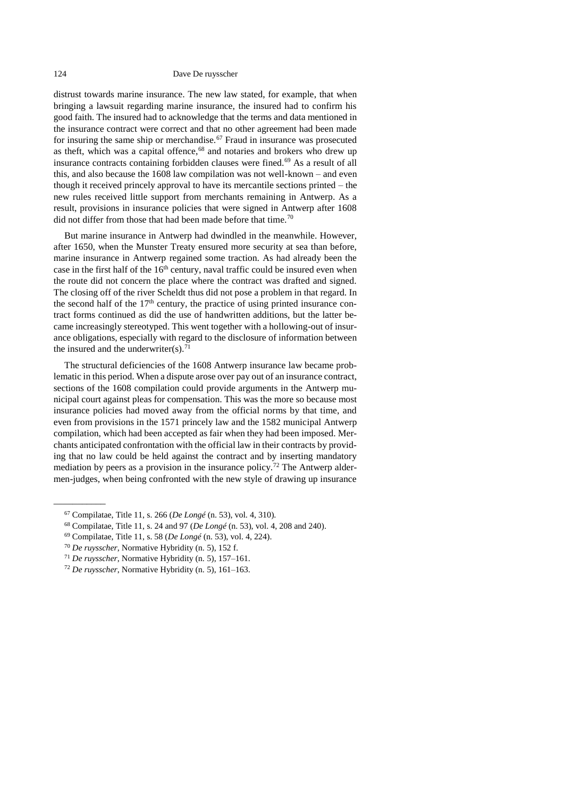#### 124 Dave De ruysscher

distrust towards marine insurance. The new law stated, for example, that when bringing a lawsuit regarding marine insurance, the insured had to confirm his good faith. The insured had to acknowledge that the terms and data mentioned in the insurance contract were correct and that no other agreement had been made for insuring the same ship or merchandise.<sup>67</sup> Fraud in insurance was prosecuted as theft, which was a capital offence, $68$  and notaries and brokers who drew up insurance contracts containing forbidden clauses were fined.<sup>69</sup> As a result of all this, and also because the 1608 law compilation was not well-known – and even though it received princely approval to have its mercantile sections printed – the new rules received little support from merchants remaining in Antwerp. As a result, provisions in insurance policies that were signed in Antwerp after 1608 did not differ from those that had been made before that time.<sup>70</sup>

But marine insurance in Antwerp had dwindled in the meanwhile. However, after 1650, when the Munster Treaty ensured more security at sea than before, marine insurance in Antwerp regained some traction. As had already been the case in the first half of the  $16<sup>th</sup>$  century, naval traffic could be insured even when the route did not concern the place where the contract was drafted and signed. The closing off of the river Scheldt thus did not pose a problem in that regard. In the second half of the  $17<sup>th</sup>$  century, the practice of using printed insurance contract forms continued as did the use of handwritten additions, but the latter became increasingly stereotyped. This went together with a hollowing-out of insurance obligations, especially with regard to the disclosure of information between the insured and the underwriter $(s)$ .<sup>71</sup>

The structural deficiencies of the 1608 Antwerp insurance law became problematic in this period. When a dispute arose over pay out of an insurance contract, sections of the 1608 compilation could provide arguments in the Antwerp municipal court against pleas for compensation. This was the more so because most insurance policies had moved away from the official norms by that time, and even from provisions in the 1571 princely law and the 1582 municipal Antwerp compilation, which had been accepted as fair when they had been imposed. Merchants anticipated confrontation with the official law in their contracts by providing that no law could be held against the contract and by inserting mandatory mediation by peers as a provision in the insurance policy.<sup>72</sup> The Antwerp aldermen-judges, when being confronted with the new style of drawing up insurance

<sup>67</sup> Compilatae, Title 11, s. 266 (*De Longé* (n. [53\)](#page-32-0), vol. 4, 310).

<sup>68</sup> Compilatae, Title 11, s. 24 and 97 (*De Longé* (n. [53\)](#page-32-0), vol. 4, 208 and 240).

<sup>69</sup> Compilatae, Title 11, s. 58 (*De Longé* (n. [53\)](#page-32-0), vol. 4, 224).

<sup>70</sup> *De ruysscher*, Normative Hybridity (n. [5\)](#page-21-3), 152 f.

<sup>71</sup> *De ruysscher*, Normative Hybridity (n. [5\)](#page-21-3), 157–161.

<sup>72</sup> *De ruysscher*, Normative Hybridity (n. [5\)](#page-21-3), 161–163.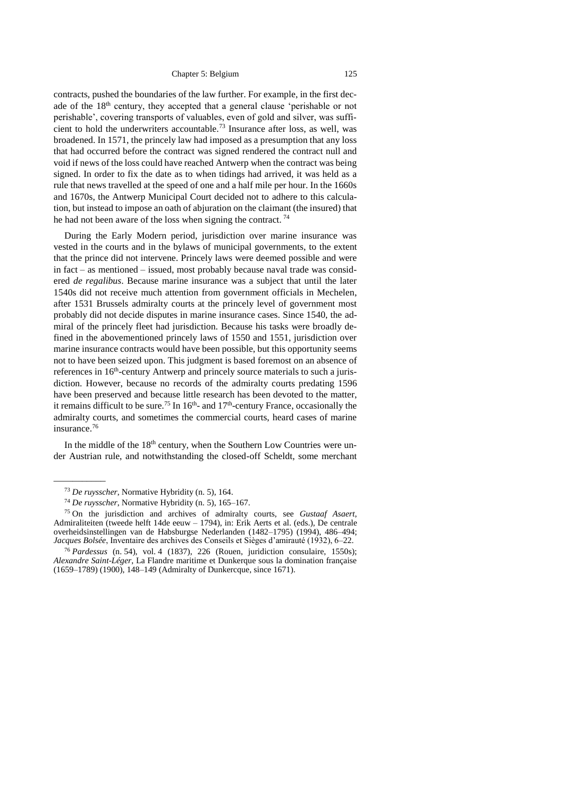contracts, pushed the boundaries of the law further. For example, in the first decade of the 18<sup>th</sup> century, they accepted that a general clause 'perishable or not perishable', covering transports of valuables, even of gold and silver, was sufficient to hold the underwriters accountable.<sup>73</sup> Insurance after loss, as well, was broadened. In 1571, the princely law had imposed as a presumption that any loss that had occurred before the contract was signed rendered the contract null and void if news of the loss could have reached Antwerp when the contract was being signed. In order to fix the date as to when tidings had arrived, it was held as a rule that news travelled at the speed of one and a half mile per hour. In the 1660s and 1670s, the Antwerp Municipal Court decided not to adhere to this calculation, but instead to impose an oath of abjuration on the claimant (the insured) that he had not been aware of the loss when signing the contract.<sup>74</sup>

During the Early Modern period, jurisdiction over marine insurance was vested in the courts and in the bylaws of municipal governments, to the extent that the prince did not intervene. Princely laws were deemed possible and were in fact – as mentioned – issued, most probably because naval trade was considered *de regalibus*. Because marine insurance was a subject that until the later 1540s did not receive much attention from government officials in Mechelen, after 1531 Brussels admiralty courts at the princely level of government most probably did not decide disputes in marine insurance cases. Since 1540, the admiral of the princely fleet had jurisdiction. Because his tasks were broadly defined in the abovementioned princely laws of 1550 and 1551, jurisdiction over marine insurance contracts would have been possible, but this opportunity seems not to have been seized upon. This judgment is based foremost on an absence of references in 16<sup>th</sup>-century Antwerp and princely source materials to such a jurisdiction. However, because no records of the admiralty courts predating 1596 have been preserved and because little research has been devoted to the matter, it remains difficult to be sure.<sup>75</sup> In  $16<sup>th</sup>$ - and  $17<sup>th</sup>$ -century France, occasionally the admiralty courts, and sometimes the commercial courts, heard cases of marine insurance.<sup>76</sup>

In the middle of the  $18<sup>th</sup>$  century, when the Southern Low Countries were under Austrian rule, and notwithstanding the closed-off Scheldt, some merchant

<sup>73</sup> *De ruysscher*, Normative Hybridity (n. [5\)](#page-21-3), 164.

<sup>74</sup> *De ruysscher*, Normative Hybridity (n. [5\)](#page-21-3), 165–167.

<sup>75</sup> On the jurisdiction and archives of admiralty courts, see *Gustaaf Asaert*, Admiraliteiten (tweede helft 14de eeuw – 1794), in: Erik Aerts et al. (eds.), De centrale overheidsinstellingen van de Habsburgse Nederlanden (1482–1795) (1994), 486–494; *Jacques Bolsée*, Inventaire des archives des Conseils et Sièges d'amirauté (1932), 6–22.

<sup>76</sup> *Pardessus* (n. [54\)](#page-32-1), vol. 4 (1837), 226 (Rouen, juridiction consulaire, 1550s); *Alexandre Saint-Léger*, La Flandre maritime et Dunkerque sous la domination française (1659–1789) (1900), 148–149 (Admiralty of Dunkercque, since 1671).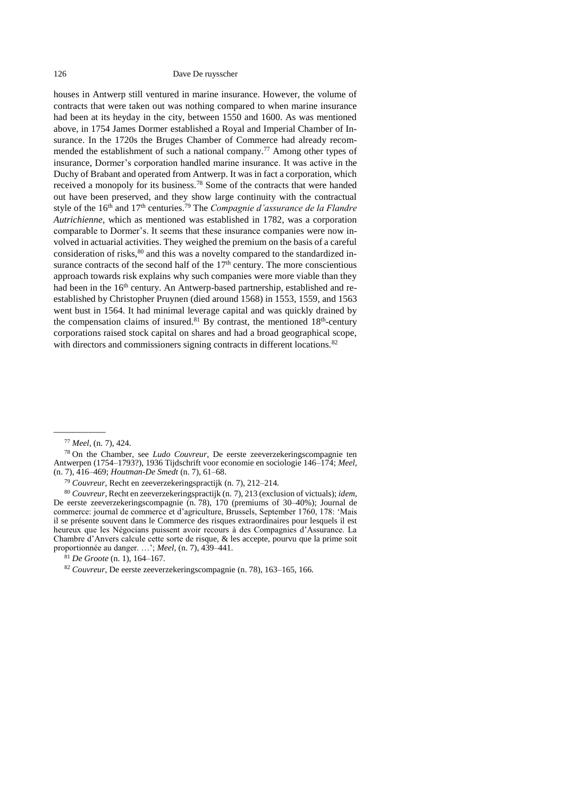#### 126 Dave De ruysscher

<span id="page-37-0"></span>houses in Antwerp still ventured in marine insurance. However, the volume of contracts that were taken out was nothing compared to when marine insurance had been at its heyday in the city, between 1550 and 1600. As was mentioned above, in 1754 James Dormer established a Royal and Imperial Chamber of Insurance. In the 1720s the Bruges Chamber of Commerce had already recommended the establishment of such a national company.<sup>77</sup> Among other types of insurance, Dormer's corporation handled marine insurance. It was active in the Duchy of Brabant and operated from Antwerp. It was in fact a corporation, which received a monopoly for its business.<sup>78</sup> Some of the contracts that were handed out have been preserved, and they show large continuity with the contractual style of the 16th and 17th centuries.<sup>79</sup> The *Compagnie d'assurance de la Flandre Autrichienne*, which as mentioned was established in 1782, was a corporation comparable to Dormer's. It seems that these insurance companies were now involved in actuarial activities. They weighed the premium on the basis of a careful consideration of risks,<sup>80</sup> and this was a novelty compared to the standardized insurance contracts of the second half of the  $17<sup>th</sup>$  century. The more conscientious approach towards risk explains why such companies were more viable than they had been in the  $16<sup>th</sup>$  century. An Antwerp-based partnership, established and reestablished by Christopher Pruynen (died around 1568) in 1553, 1559, and 1563 went bust in 1564. It had minimal leverage capital and was quickly drained by the compensation claims of insured.<sup>81</sup> By contrast, the mentioned  $18<sup>th</sup>$ -century corporations raised stock capital on shares and had a broad geographical scope, with directors and commissioners signing contracts in different locations.<sup>82</sup>

<sup>77</sup> *Meel*, (n. [7\)](#page-22-0), 424.

<sup>78</sup> On the Chamber, see *Ludo Couvreur*, De eerste zeeverzekeringscompagnie ten Antwerpen (1754–1793?), 1936 Tijdschrift voor economie en sociologie 146–174; *Meel*, (n. [7\)](#page-22-0), 416–469; *Houtman-De Smedt* (n. [7\)](#page-22-0), 61–68.

<sup>79</sup> *Couvreur*, Recht en zeeverzekeringspractijk (n. [7\)](#page-22-0), 212–214.

<sup>80</sup> *Couvreur*, Recht en zeeverzekeringspractijk (n. [7\)](#page-22-0), 213 (exclusion of victuals); *idem*, De eerste zeeverzekeringscompagnie (n. [78\)](#page-37-0), 170 (premiums of 30–40%); Journal de commerce: journal de commerce et d'agriculture, Brussels, September 1760, 178: 'Mais il se présente souvent dans le Commerce des risques extraordinaires pour lesquels il est heureux que les Négocians puissent avoir recours à des Compagnies d'Assurance. La Chambre d'Anvers calcule cette sorte de risque, & les accepte, pourvu que la prime soit proportionnée au danger. …'; *Meel*, (n. [7\)](#page-22-0), 439–441.

<sup>81</sup> *De Groote* (n. [1\)](#page-21-1), 164–167.

<sup>82</sup> *Couvreur*, De eerste zeeverzekeringscompagnie (n. [78\)](#page-37-0), 163–165, 166.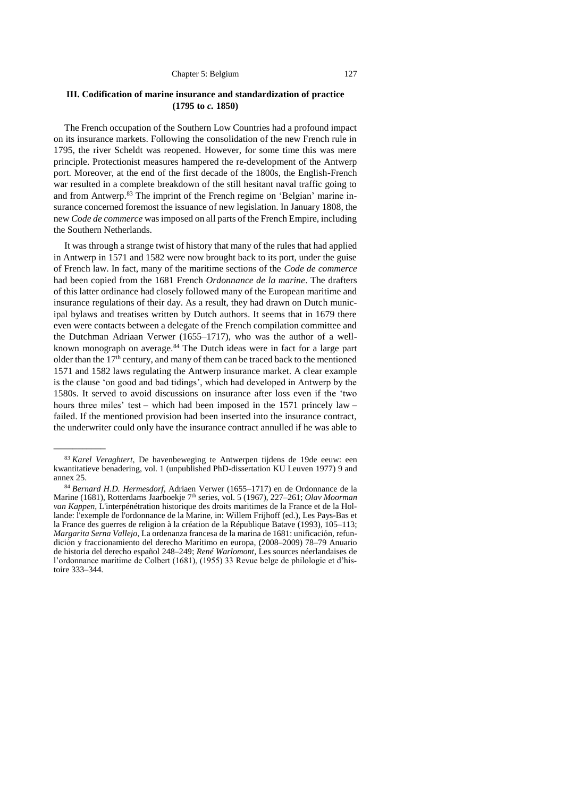# <span id="page-38-0"></span>**III. Codification of marine insurance and standardization of practice (1795 to** *c.* **1850)**

The French occupation of the Southern Low Countries had a profound impact on its insurance markets. Following the consolidation of the new French rule in 1795, the river Scheldt was reopened. However, for some time this was mere principle. Protectionist measures hampered the re-development of the Antwerp port. Moreover, at the end of the first decade of the 1800s, the English-French war resulted in a complete breakdown of the still hesitant naval traffic going to and from Antwerp.<sup>83</sup> The imprint of the French regime on 'Belgian' marine insurance concerned foremost the issuance of new legislation. In January 1808, the new *Code de commerce* was imposed on all parts of the French Empire, including the Southern Netherlands.

It was through a strange twist of history that many of the rules that had applied in Antwerp in 1571 and 1582 were now brought back to its port, under the guise of French law. In fact, many of the maritime sections of the *Code de commerce* had been copied from the 1681 French *Ordonnance de la marine*. The drafters of this latter ordinance had closely followed many of the European maritime and insurance regulations of their day. As a result, they had drawn on Dutch municipal bylaws and treatises written by Dutch authors. It seems that in 1679 there even were contacts between a delegate of the French compilation committee and the Dutchman Adriaan Verwer (1655–1717), who was the author of a wellknown monograph on average.<sup>84</sup> The Dutch ideas were in fact for a large part older than the 17<sup>th</sup> century, and many of them can be traced back to the mentioned 1571 and 1582 laws regulating the Antwerp insurance market. A clear example is the clause 'on good and bad tidings', which had developed in Antwerp by the 1580s. It served to avoid discussions on insurance after loss even if the 'two hours three miles' test – which had been imposed in the 1571 princely law – failed. If the mentioned provision had been inserted into the insurance contract, the underwriter could only have the insurance contract annulled if he was able to

<sup>83</sup> *Karel Veraghtert*, De havenbeweging te Antwerpen tijdens de 19de eeuw: een kwantitatieve benadering, vol. 1 (unpublished PhD-dissertation KU Leuven 1977) 9 and annex 25.

<sup>84</sup> *Bernard H.D. Hermesdorf*, Adriaen Verwer (1655–1717) en de Ordonnance de la Marine (1681), Rotterdams Jaarboekje 7<sup>th</sup> series, vol. 5 (1967), 227-261; Olav Moorman *van Kappen*, L'interpénétration historique des droits maritimes de la France et de la Hollande: l'exemple de l'ordonnance de la Marine, in: Willem Frijhoff (ed.), Les Pays-Bas et la France des guerres de religion à la création de la République Batave (1993), 105–113; *Margarita Serna Vallejo,* La ordenanza francesa de la marina de 1681: unificación, refundición y fraccionamiento del derecho Marí timo en europa, (2008–2009) 78–79 [Anuario](https://dialnet.unirioja.es/servlet/revista?codigo=115)  [de historia del derecho español](https://dialnet.unirioja.es/servlet/revista?codigo=115) 248–249; *René Warlomont*, Les sources néerlandaises de l'ordonnance maritime de Colbert (1681), (1955) 33 Revue belge de philologie et d'histoire 333–344.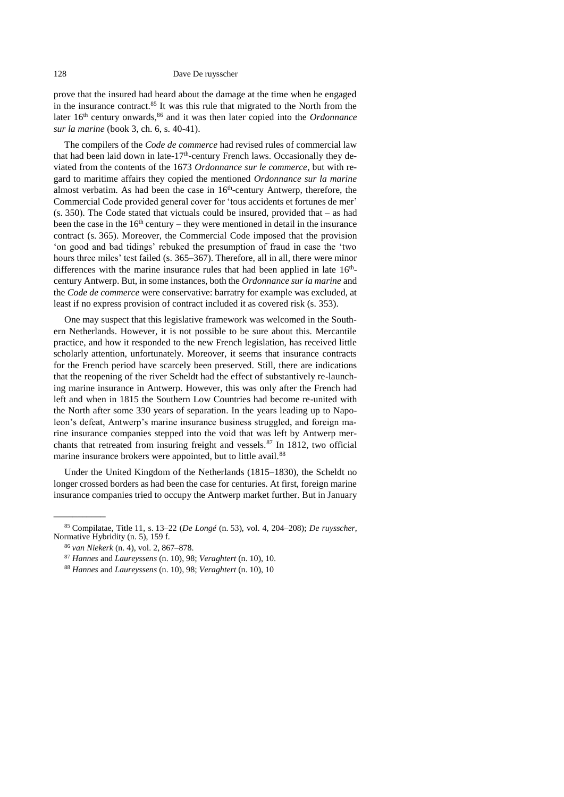prove that the insured had heard about the damage at the time when he engaged in the insurance contract.<sup>85</sup> It was this rule that migrated to the North from the later 16<sup>th</sup> century onwards,<sup>86</sup> and it was then later copied into the *Ordonnance sur la marine* (book 3, ch. 6, s. 40-41).

The compilers of the *Code de commerce* had revised rules of commercial law that had been laid down in late- $17<sup>th</sup>$ -century French laws. Occasionally they deviated from the contents of the 1673 *Ordonnance sur le commerce*, but with regard to maritime affairs they copied the mentioned *Ordonnance sur la marine* almost verbatim. As had been the case in  $16<sup>th</sup>$ -century Antwerp, therefore, the Commercial Code provided general cover for 'tous accidents et fortunes de mer' (s. 350). The Code stated that victuals could be insured, provided that – as had been the case in the  $16<sup>th</sup>$  century – they were mentioned in detail in the insurance contract (s. 365). Moreover, the Commercial Code imposed that the provision 'on good and bad tidings' rebuked the presumption of fraud in case the 'two hours three miles' test failed (s. 365–367). Therefore, all in all, there were minor differences with the marine insurance rules that had been applied in late  $16<sup>th</sup>$ century Antwerp. But, in some instances, both the *Ordonnance sur la marine* and the *Code de commerce* were conservative: barratry for example was excluded, at least if no express provision of contract included it as covered risk (s. 353).

One may suspect that this legislative framework was welcomed in the Southern Netherlands. However, it is not possible to be sure about this. Mercantile practice, and how it responded to the new French legislation, has received little scholarly attention, unfortunately. Moreover, it seems that insurance contracts for the French period have scarcely been preserved. Still, there are indications that the reopening of the river Scheldt had the effect of substantively re-launching marine insurance in Antwerp. However, this was only after the French had left and when in 1815 the Southern Low Countries had become re-united with the North after some 330 years of separation. In the years leading up to Napoleon's defeat, Antwerp's marine insurance business struggled, and foreign marine insurance companies stepped into the void that was left by Antwerp merchants that retreated from insuring freight and vessels.<sup>87</sup> In 1812, two official marine insurance brokers were appointed, but to little avail.<sup>88</sup>

Under the United Kingdom of the Netherlands (1815–1830), the Scheldt no longer crossed borders as had been the case for centuries. At first, foreign marine insurance companies tried to occupy the Antwerp market further. But in January

<sup>85</sup> Compilatae, Title 11, s. 13–22 (*De Longé* (n. [53\)](#page-32-0), vol. 4, 204–208); *De ruysscher*, Normative Hybridity (n. [5\)](#page-21-3), 159 f.

<sup>86</sup> *van Niekerk* (n. [4\)](#page-21-2), vol. 2, 867–878.

<sup>87</sup> *Hannes* and *Laureyssens* (n. [10\)](#page-23-1), 98; *Veraghtert* (n. [10\)](#page-23-1), 10.

<sup>88</sup> *Hannes* and *Laureyssens* (n. [10\)](#page-23-1), 98; *Veraghtert* (n. [10\)](#page-23-1), 10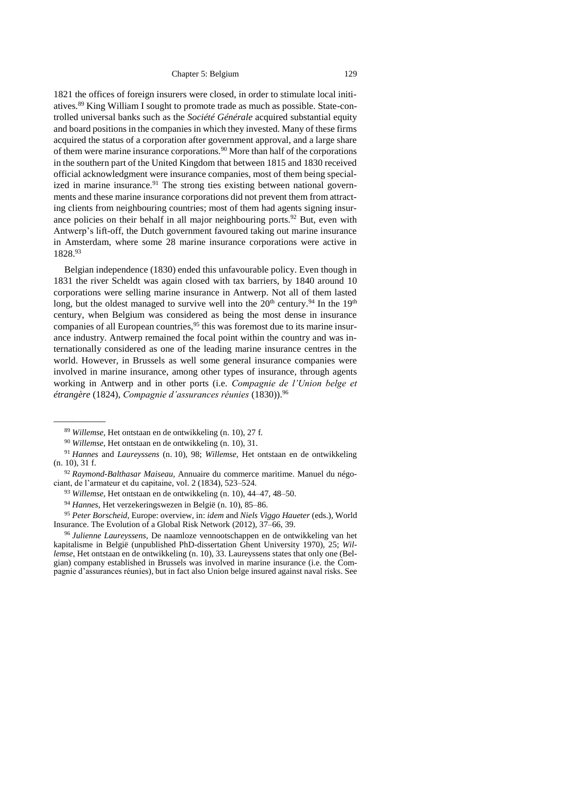1821 the offices of foreign insurers were closed, in order to stimulate local initiatives.<sup>89</sup> King William I sought to promote trade as much as possible. State-controlled universal banks such as the *Société Générale* acquired substantial equity and board positions in the companies in which they invested. Many of these firms acquired the status of a corporation after government approval, and a large share of them were marine insurance corporations.<sup>90</sup> More than half of the corporations in the southern part of the United Kingdom that between 1815 and 1830 received official acknowledgment were insurance companies, most of them being specialized in marine insurance.<sup>91</sup> The strong ties existing between national governments and these marine insurance corporations did not prevent them from attracting clients from neighbouring countries; most of them had agents signing insurance policies on their behalf in all major neighbouring ports.<sup>92</sup> But, even with Antwerp's lift-off, the Dutch government favoured taking out marine insurance in Amsterdam, where some 28 marine insurance corporations were active in 1828.<sup>93</sup>

Belgian independence (1830) ended this unfavourable policy. Even though in 1831 the river Scheldt was again closed with tax barriers, by 1840 around 10 corporations were selling marine insurance in Antwerp. Not all of them lasted long, but the oldest managed to survive well into the  $20<sup>th</sup>$  century.<sup>94</sup> In the 19<sup>th</sup> century, when Belgium was considered as being the most dense in insurance companies of all European countries,  $95$  this was foremost due to its marine insurance industry. Antwerp remained the focal point within the country and was internationally considered as one of the leading marine insurance centres in the world. However, in Brussels as well some general insurance companies were involved in marine insurance, among other types of insurance, through agents working in Antwerp and in other ports (i.e. *Compagnie de l'Union belge et étrangère* (1824), *Compagnie d'assurances réunies* (1830)).<sup>96</sup>

<sup>89</sup> *Willemse*, Het ontstaan en de ontwikkeling (n. [10\)](#page-23-1), 27 f.

<sup>90</sup> *Willemse*, Het ontstaan en de ontwikkeling (n. [10\)](#page-23-1), 31.

<sup>91</sup> *Hannes* and *Laureyssens* (n. [10\)](#page-23-1), 98; *Willemse*, Het ontstaan en de ontwikkeling (n. [10\)](#page-23-1), 31 f.

<sup>92</sup> *Raymond-Balthasar Maiseau*, Annuaire du commerce maritime. Manuel du négociant, de l'armateur et du capitaine, vol. 2 (1834), 523–524.

<sup>93</sup> *Willemse*, Het ontstaan en de ontwikkeling (n. [10\)](#page-23-1), 44–47, 48–50.

<sup>94</sup> *Hannes*, Het verzekeringswezen in België (n. [10\)](#page-23-1), 85–86.

<sup>95</sup> *Peter Borscheid*, Europe: overview, in: *idem* and *Niels Viggo Haueter* (eds.), World Insurance. The Evolution of a Global Risk Network (2012), 37–66, 39.

<sup>96</sup> *Julienne Laureyssens*, De naamloze vennootschappen en de ontwikkeling van het kapitalisme in België (unpublished PhD-dissertation Ghent University 1970), 25; *Willemse*, Het ontstaan en de ontwikkeling (n. [10\)](#page-23-1), 33. Laureyssens states that only one (Belgian) company established in Brussels was involved in marine insurance (i.e. the Compagnie d'assurances réunies), but in fact also Union belge insured against naval risks. See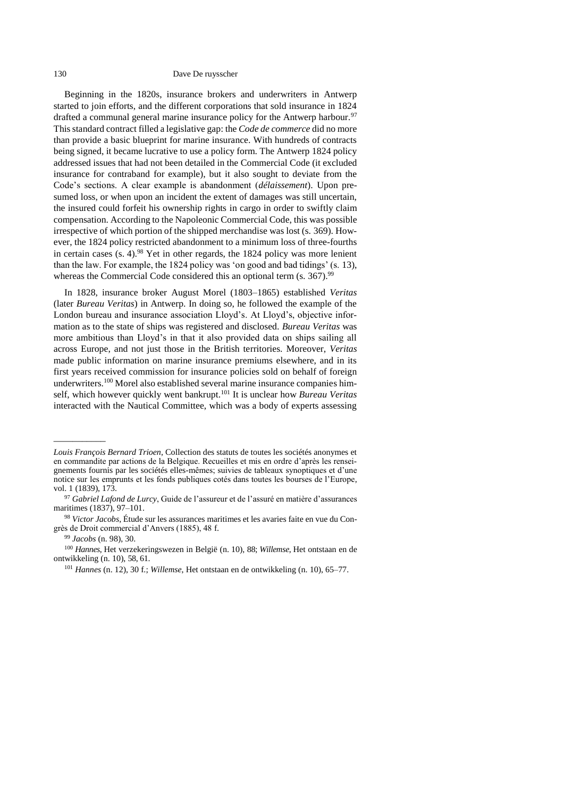#### 130 Dave De ruysscher

Beginning in the 1820s, insurance brokers and underwriters in Antwerp started to join efforts, and the different corporations that sold insurance in 1824 drafted a communal general marine insurance policy for the Antwerp harbour.<sup>97</sup> This standard contract filled a legislative gap: the *Code de commerce* did no more than provide a basic blueprint for marine insurance. With hundreds of contracts being signed, it became lucrative to use a policy form. The Antwerp 1824 policy addressed issues that had not been detailed in the Commercial Code (it excluded insurance for contraband for example), but it also sought to deviate from the Code's sections. A clear example is abandonment (*délaissement*). Upon presumed loss, or when upon an incident the extent of damages was still uncertain, the insured could forfeit his ownership rights in cargo in order to swiftly claim compensation. According to the Napoleonic Commercial Code, this was possible irrespective of which portion of the shipped merchandise was lost (s. 369). However, the 1824 policy restricted abandonment to a minimum loss of three-fourths in certain cases  $(s. 4)$ .<sup>98</sup> Yet in other regards, the 1824 policy was more lenient than the law. For example, the 1824 policy was 'on good and bad tidings' (s. 13), whereas the Commercial Code considered this an optional term (s. 367).<sup>99</sup>

<span id="page-41-0"></span>In 1828, insurance broker August Morel (1803–1865) established *Veritas* (later *Bureau Veritas*) in Antwerp. In doing so, he followed the example of the London bureau and insurance association Lloyd's. At Lloyd's, objective information as to the state of ships was registered and disclosed. *Bureau Veritas* was more ambitious than Lloyd's in that it also provided data on ships sailing all across Europe, and not just those in the British territories. Moreover, *Veritas* made public information on marine insurance premiums elsewhere, and in its first years received commission for insurance policies sold on behalf of foreign underwriters.<sup>100</sup> Morel also established several marine insurance companies himself, which however quickly went bankrupt.<sup>101</sup> It is unclear how *Bureau Veritas* interacted with the Nautical Committee, which was a body of experts assessing

<sup>99</sup> *Jacobs* (n. [98\)](#page-41-0), 30.

*Louis François Bernard Trioen*, Collection des statuts de toutes les sociétés anonymes et en commandite par actions de la Belgique. Recueilles et mis en ordre d'après les renseignements fournis par les sociétés elles-mêmes; suivies de tableaux synoptiques et d'une notice sur les emprunts et les fonds publiques cotés dans toutes les bourses de l'Europe, vol. 1 (1839), 173.

<sup>97</sup> *Gabriel Lafond de Lurcy*, Guide de l'assureur et de l'assuré en matière d'assurances maritimes (1837), 97–101.

<sup>98</sup> *Victor Jacobs*, Étude sur les assurances maritimes et les avaries faite en vue du Congrès de Droit commercial d'Anvers (1885), 48 f.

<sup>100</sup> *Hannes*, Het verzekeringswezen in België (n. [10\)](#page-23-1), 88; *Willemse*, Het ontstaan en de ontwikkeling (n. [10\)](#page-23-1), 58, 61.

<sup>101</sup> *Hannes* (n. [12\)](#page-24-2), 30 f.; *Willemse*, Het ontstaan en de ontwikkeling (n. [10\)](#page-23-1), 65–77.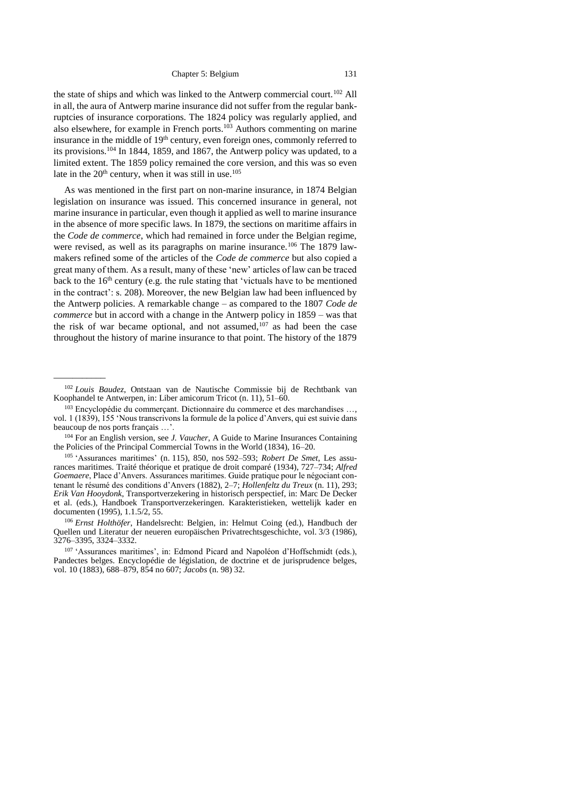the state of ships and which was linked to the Antwerp commercial court.<sup>102</sup> All in all, the aura of Antwerp marine insurance did not suffer from the regular bankruptcies of insurance corporations. The 1824 policy was regularly applied, and also elsewhere, for example in French ports.<sup>103</sup> Authors commenting on marine insurance in the middle of 19<sup>th</sup> century, even foreign ones, commonly referred to its provisions.<sup>104</sup> In 1844, 1859, and 1867, the Antwerp policy was updated, to a limited extent. The 1859 policy remained the core version, and this was so even late in the  $20<sup>th</sup>$  century, when it was still in use.<sup>105</sup>

As was mentioned in the first part on non-marine insurance, in 1874 Belgian legislation on insurance was issued. This concerned insurance in general, not marine insurance in particular, even though it applied as well to marine insurance in the absence of more specific laws. In 1879, the sections on maritime affairs in the *Code de commerce*, which had remained in force under the Belgian regime, were revised, as well as its paragraphs on marine insurance.<sup>106</sup> The 1879 lawmakers refined some of the articles of the *Code de commerce* but also copied a great many of them. As a result, many of these 'new' articles of law can be traced back to the  $16<sup>th</sup>$  century (e.g. the rule stating that 'victuals have to be mentioned in the contract': s. 208). Moreover, the new Belgian law had been influenced by the Antwerp policies. A remarkable change – as compared to the 1807 *Code de commerce* but in accord with a change in the Antwerp policy in 1859 – was that the risk of war became optional, and not assumed, $107$  as had been the case throughout the history of marine insurance to that point. The history of the 1879

<sup>102</sup> *Louis Baudez*, Ontstaan van de Nautische Commissie bij de Rechtbank van Koophandel te Antwerpen, in: Liber amicorum Tricot (n. [11\)](#page-23-2), 51–60.

<sup>&</sup>lt;sup>103</sup> Encyclopédie du commerçant. Dictionnaire du commerce et des marchandises ..., vol. 1 (1839), 155 'Nous transcrivons la formule de la police d'Anvers, qui est suivie dans beaucoup de nos ports français …'.

<sup>104</sup> For an English version, see *J. Vaucher*, A Guide to Marine Insurances Containing the Policies of the Principal Commercial Towns in the World (1834), 16–20.

<sup>105</sup> 'Assurances maritimes' (n. [115\)](#page-12-5), 850, nos 592–593; *Robert De Smet*, Les assurances maritimes. Traité théorique et pratique de droit comparé (1934), 727–734; *Alfred Goemaere*, Place d'Anvers. Assurances maritimes. Guide pratique pour le négociant contenant le résumé des conditions d'Anvers (1882), 2–7; *Hollenfeltz du Treux* (n. [11\)](#page-23-2), 293; *Erik Van Hooydonk*, Transportverzekering in historisch perspectief, in: Marc De Decker et al. (eds.), Handboek Transportverzekeringen. Karakteristieken, wettelijk kader en documenten (1995), 1.1.5/2, 55.

<sup>106</sup> *Ernst Holthöfer*, Handelsrecht: Belgien, in: Helmut Coing (ed.), Handbuch der Quellen und Literatur der neueren europäischen Privatrechtsgeschichte, vol. 3/3 (1986), 3276–3395, 3324–3332.

<sup>107</sup> 'Assurances maritimes', in: Edmond Picard and Napoléon d'Hoffschmidt (eds.), Pandectes belges. Encyclopédie de législation, de doctrine et de jurisprudence belges, vol. 10 (1883), 688–879, 854 no 607; *Jacobs* (n. [98\)](#page-41-0) 32.